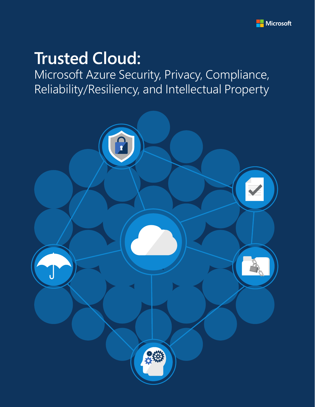

# **Trusted Cloud:**

Microsoft Azure Security, Privacy, Compliance, Reliability/Resiliency, and Intellectual Property

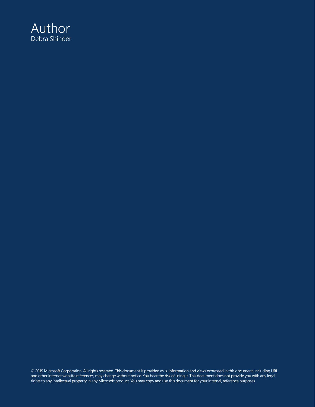

© 2019 Microsoft Corporation. All rights reserved. This document is provided as is. Information and views expressed in this document, including URL and other Internet website references, may change without notice. You bear the risk of using it. This document does not provide you with any legal rights to any intellectual property in any Microsoft product. You may copy and use this document for your internal, reference purposes.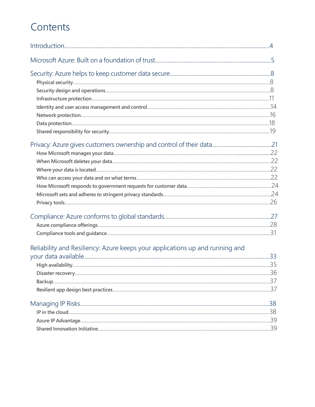## Contents

| Reliability and Resiliency: Azure keeps your applications up and running and |  |
|------------------------------------------------------------------------------|--|
|                                                                              |  |
|                                                                              |  |
|                                                                              |  |
|                                                                              |  |
|                                                                              |  |
|                                                                              |  |
|                                                                              |  |
|                                                                              |  |
|                                                                              |  |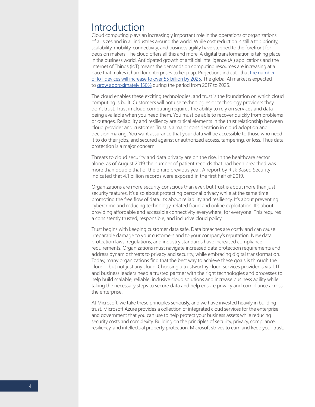## <span id="page-3-0"></span>Introduction

Cloud computing plays an increasingly important role in the operations of organizations of all sizes and in all industries around the world. While cost reduction is still a top priority, scalability, mobility, connectivity, and business agility have stepped to the forefront for decision makers. The cloud offers all this and more. A digital transformation is taking place in the business world. Anticipated growth of artificial intelligence (AI) applications and the Internet of Things (IoT) means the demands on computing resources are increasing at a pace that makes it hard for enterprises to keep up. Projections indicate that [the number](https://www.businessinsider.com/internet-of-things-report)  [of IoT devices will increase to over 55 billion by 2025.](https://www.businessinsider.com/internet-of-things-report) The global AI market is expected to [grow approximately 150%](https://www.statista.com/statistics/607960/worldwide-artificial-intelligence-market-growth/) during the period from 2017 to 2025.

The cloud enables these exciting technologies, and trust is the foundation on which cloud computing is built. Customers will not use technologies or technology providers they don't trust. Trust in cloud computing requires the ability to rely on services and data being available when you need them. You must be able to recover quickly from problems or outages. Reliability and resiliency are critical elements in the trust relationship between cloud provider and customer. Trust is a major consideration in cloud adoption and decision making. You want assurance that your data will be accessible to those who need it to do their jobs, and secured against unauthorized access, tampering, or loss. Thus data protection is a major concern.

Threats to cloud security and data privacy are on the rise. In the healthcare sector alone, as of August 2019 the number of patient records that had been breached was more than double that of the entire previous year. A report by Risk Based Security indicated that 4.1 billion records were exposed in the first half of 2019.

Organizations are more security conscious than ever, but trust is about more than just security features. It's also about protecting personal privacy while at the same time promoting the free flow of data. It's about reliability and resiliency. It's about preventing cybercrime and reducing technology-related fraud and online exploitation. It's about providing affordable and accessible connectivity everywhere, for everyone. This requires a consistently trusted, responsible, and inclusive cloud policy.

Trust begins with keeping customer data safe. Data breaches are costly and can cause irreparable damage to your customers and to your company's reputation. New data protection laws, regulations, and industry standards have increased compliance requirements. Organizations must navigate increased data protection requirements and address dynamic threats to privacy and security, while embracing digital transformation. Today, many organizations find that the best way to achieve these goals is through the cloud—but not just any cloud. Choosing a trustworthy cloud services provider is vital. IT and business leaders need a trusted partner with the right technologies and processes to help build scalable, reliable, inclusive cloud solutions and increase business agility while taking the necessary steps to secure data and help ensure privacy and compliance across the enterprise.

At Microsoft, we take these principles seriously, and we have invested heavily in building trust. Microsoft Azure provides a collection of integrated cloud services for the enterprise and government that you can use to help protect your business assets while reducing security costs and complexity. Building on the principles of security, privacy, compliance, resiliency, and intellectual property protection, Microsoft strives to earn and keep your trust.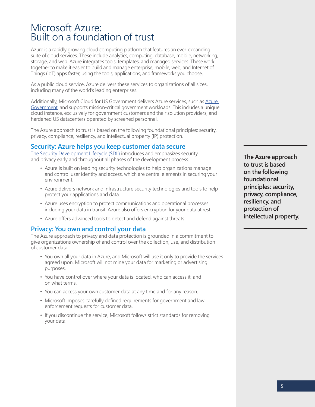## <span id="page-4-0"></span>Microsoft Azure: Built on a foundation of trust

Azure is a rapidly growing cloud computing platform that features an ever-expanding suite of cloud services. These include analytics, computing, database, mobile, networking, storage, and web. Azure integrates tools, templates, and managed services. These work together to make it easier to build and manage enterprise, mobile, web, and Internet of Things (IoT) apps faster, using the tools, applications, and frameworks you choose.

As a public cloud service, Azure delivers these services to organizations of all sizes, including many of the world's leading enterprises.

Additionally, Microsoft Cloud for US Government delivers [Azure](https://azure.microsoft.com/en-us/global-infrastructure/government/) services, such as Azure [Government,](https://azure.microsoft.com/en-us/global-infrastructure/government/) and supports mission-critical government workloads. This includes a unique cloud instance, exclusively for government customers and their solution providers, and hardened US datacenters operated by screened personnel.

The Azure approach to trust is based on the following foundational principles: security, privacy, compliance, resiliency, and intellectual property (IP) protection.

## **Security: Azure helps you keep customer data secure**

[The Security Development Lifecycle \(SDL\)](https://www.microsoft.com/en-us/securityengineering/sdl/) introduces and emphasizes security and privacy early and throughout all phases of the development process.

- Azure is built on leading security technologies to help organizations manage and control user identity and access, which are central elements in securing your environment.
- Azure delivers network and infrastructure security technologies and tools to help protect your applications and data.
- Azure uses encryption to protect communications and operational processes including your data in transit. Azure also offers encryption for your data at rest.
- Azure offers advanced tools to detect and defend against threats.

## **Privacy: You own and control your data**

The Azure approach to privacy and data protection is grounded in a commitment to give organizations ownership of and control over the collection, use, and distribution of customer data.

- You own all your data in Azure, and Microsoft will use it only to provide the services agreed upon. Microsoft will not mine your data for marketing or advertising purposes.
- You have control over where your data is located, who can access it, and on what terms.
- You can access your own customer data at any time and for any reason.
- Microsoft imposes carefully defined requirements for government and law enforcement requests for customer data.
- If you discontinue the service, Microsoft follows strict standards for removing your data.

**The Azure approach to trust is based on the following foundational principles: security, privacy, compliance, resiliency, and protection of intellectual property.**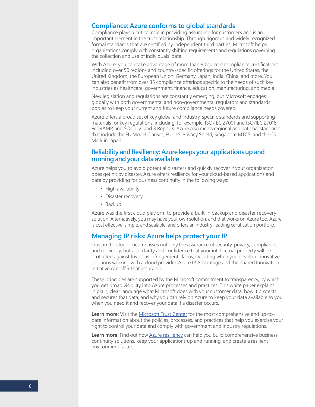## **Compliance: Azure conforms to global standards**

Compliance plays a critical role in providing assurance for customers and is an important element in the trust relationship. Through rigorous and widely recognized formal standards that are certified by independent third parties, Microsoft helps organizations comply with constantly shifting requirements and regulations governing the collection and use of individuals' data.

With Azure, you can take advantage of more than 90 current compliance certifications, including over 50 region- and country-specific offerings for the United States, the United Kingdom, the European Union, Germany, Japan, India, China, and more. You can also benefit from over 35 compliance offerings specific to the needs of such key industries as healthcare, government, finance, education, manufacturing, and media.

New legislation and regulations are constantly emerging, but Microsoft engages globally with both governmental and non-governmental regulators and standards bodies to keep your current and future compliance needs covered.

Azure offers a broad set of key global and industry-specific standards and supporting materials for key regulations, including, for example, ISO/IEC 27001 and ISO/IEC 27018, FedRAMP, and SOC 1, 2, and 3 Reports. Azure also meets regional and national standards that include the EU Model Clauses, EU-U.S. Privacy Shield, Singapore MTCS, and the CS Mark in Japan.

## **Reliability and Resiliency: Azure keeps your applications up and running and your data available**

Azure helps you to avoid potential disasters and quickly recover if your organization does get hit by disaster. Azure offers resiliency for your cloud-based applications and data by providing for business continuity in the following ways:

- High availability
- Disaster recovery
- Backup

Azure was the first cloud platform to provide a built-in backup and disaster recovery solution. Alternatively, you may have your own solution, and that works on Azure too. Azure is cost effective, simple, and scalable, and offers an industry-leading certification portfolio.

## **Managing IP risks: Azure helps protect your IP**

Trust in the cloud encompasses not only the assurance of security, privacy, compliance, and resiliency, but also clarity and confidence that your intellectual property will be protected against frivolous infringement claims, including when you develop innovative solutions working with a cloud provider. Azure IP Advantage and the Shared Innovation Initiative can offer that assurance.

These principles are supported by the Microsoft commitment to transparency, by which you get broad visibility into Azure processes and practices. This white paper explains in plain, clear language what Microsoft does with your customer data, how it protects and secures that data, and why you can rely on Azure to keep your data available to you when you need it and recover your data if a disaster occurs.

**Learn more:** Visit the [Microsoft Trust Center](https://www.microsoft.com/en-us/trustcenter) for the most comprehensive and up-todate information about the policies, processes, and practices that help you exercise your right to control your data and comply with government and industry regulations.

**Learn more:** Find out how [Azure resiliency](https://azure.microsoft.com/en-us/features/resiliency/) can help you build comprehensive business continuity solutions, keep your applications up and running, and create a resilient environment faster.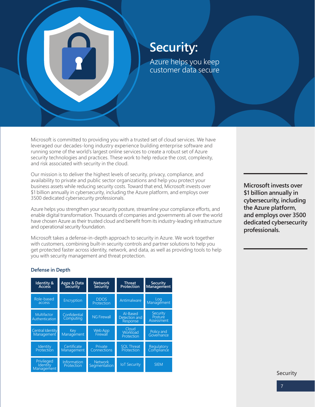<span id="page-6-0"></span>

## **Security:**  Azure helps you keep customer data secure

Microsoft is committed to providing you with a trusted set of cloud services. We have leveraged our decades-long industry experience building enterprise software and running some of the world's largest online services to create a robust set of Azure security technologies and practices. These work to help reduce the cost, complexity, and risk associated with security in the cloud.

Our mission is to deliver the highest levels of security, privacy, compliance, and availability to private and public sector organizations and help you protect your business assets while reducing security costs. Toward that end, Microsoft invests over \$1 billion annually in cybersecurity, including the Azure platform, and employs over 3500 dedicated cybersecurity professionals.

Azure helps you strengthen your security posture, streamline your compliance efforts, and enable digital transformation. Thousands of companies and governments all over the world have chosen Azure as their trusted cloud and benefit from its industry-leading infrastructure and operational security foundation.

Microsoft takes a defense-in-depth approach to security in Azure. We work together with customers, combining built-in security controls and partner solutions to help you get protected faster across identity, network, and data, as well as providing tools to help you with security management and threat protection.

**Microsoft invests over \$1 billion annually in cybersecurity, including the Azure platform, and employs over 3500 dedicated cybersecurity professionals.**

## **Defense in Depth**

| <b>Identity &amp;</b><br><b>Access</b>      | Apps & Data<br>Security   | <b>Network</b><br><b>Security</b> | <b>Threat</b><br>Protection           | <b>Security</b><br>Management     |
|---------------------------------------------|---------------------------|-----------------------------------|---------------------------------------|-----------------------------------|
| Role-based<br>access                        | Encryption                | <b>DDOS</b><br>Protection         | Antimalware                           | Log<br>Management                 |
| <b>Multifactor</b><br>Authentication        | Confidential<br>Computing | <b>NG Firewall</b>                | Al-Based<br>Detection and<br>Response | Security<br>Posture<br>Assessment |
| Central Identity<br>Management              | Key<br>Managément         | <b>Web App</b><br>Firewall        | Cloud<br>Workload<br>Protection       | Policy and<br>Governance          |
| <b>Identity</b><br>Protection               | Certificate<br>Management | Private<br><b>Connections</b>     | <b>SOL Threat</b><br>Protection       | Regulatory<br>Compliance          |
| Privileged<br>Identity<br><b>Management</b> | Information<br>Protection | <b>Network</b><br>Segmentation    | <b>IoT Security</b>                   | <b>SIEM</b>                       |

**Security**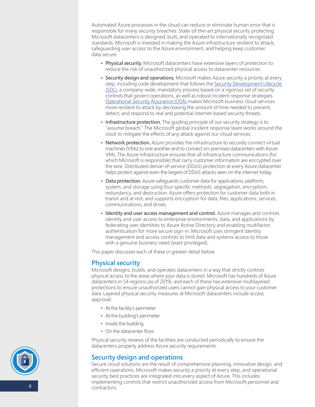<span id="page-7-0"></span>Automated Azure processes in the cloud can reduce or eliminate human error that is responsible for many security breaches. State-of-the-art physical security protecting Microsoft datacenters is designed, built, and operated to internationally recognized standards. Microsoft is invested in making the Azure infrastructure resilient to attack, safeguarding user access to the Azure environment, and helping keep customer data secure.

- **• Physical security.** Microsoft datacenters have extensive layers of protection to reduce the risk of unauthorized physical access to datacenter resources.
- **• Security design and operations.** Microsoft makes Azure security a priority at every step, including code development that follows the [Security Development Lifecycle](https://www.microsoft.com/en-us/securityengineering/sdl/) (SDL), a company-wide, mandatory process based on a rigorous set of security controls that govern operations, as well as robust incident response strategies. [Operational Security Assurance \(OSA\)](https://www.microsoft.com/en-us/securityengineering/osa) makes Microsoft business cloud services more resilient to attack by decreasing the amount of time needed to prevent, detect, and respond to real and potential internet-based security threats.
- **• Infrastructure protection.** The guiding principle of our security strategy is to "assume breach." The Microsoft global incident response team works around the clock to mitigate the effects of any attack against our cloud services.
- **• Network protection.** Azure provides the infrastructure to securely connect virtual machines (VMs) to one another and to connect on-premises datacenters with Azure VMs. The Azure infrastructure ensures that all infrastructure communications (for which Microsoft is responsible) that carry customer information are encrypted over the wire. Distributed denial-of-service (DDoS) protection at every Azure datacenter helps protect against even the largest of DDoS attacks seen on the internet today.
- **• Data protection.** Azure safeguards customer data for applications, platform, system, and storage using four specific methods: segregation, encryption, redundancy, and destruction. Azure offers protection for customer data both in transit and at rest, and supports encryption for data, files, applications, services, communications, and drives.
- **• Identity and user access management and control.** Azure manages and controls identity and user access to enterprise environments, data, and applications by federating user identities to Azure Active Directory and enabling multifactor authentication for more secure sign-in. Microsoft uses stringent identity management and access controls to limit data and systems access to those with a genuine business need (least-privileged).

This paper discusses each of these in greater detail below.

## **Physical security**

Microsoft designs, builds, and operates datacenters in a way that strictly controls physical access to the areas where your data is stored. Microsoft has hundreds of Azure datacenters in 54 regions (as of 2019), and each of these has extensive multilayered protections to ensure unauthorized users cannot gain physical access to your customer data. Layered physical security measures at Microsoft datacenters include access approval:

- At the facility's perimeter.
- At the building's perimeter.
- Inside the building.
- On the datacenter floor.

Physical security reviews of the facilities are conducted periodically to ensure the datacenters properly address Azure security requirements.

## **Security design and operations**

Secure cloud solutions are the result of comprehensive planning, innovative design, and efficient operations. Microsoft makes security a priority at every step, and operational security best practices are integrated into every aspect of Azure. This includes implementing controls that restrict unauthorized access from Microsoft personnel and contractors.

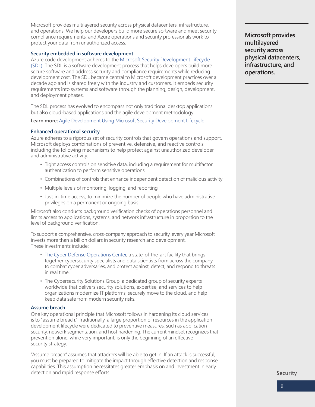Microsoft provides multilayered security across physical datacenters, infrastructure, and operations. We help our developers build more secure software and meet security compliance requirements, and Azure operations and security professionals work to protect your data from unauthorized access.

## **Security embedded in software development**

Azure code development adheres to the Microsoft Security Development Lifecycle [\(SDL\)](https://www.microsoft.com/en-us/securityengineering/sdl/). The SDL is a software development process that helps developers build more secure software and address security and compliance requirements while reducing development cost. The SDL became central to Microsoft development practices over a decade ago and is shared freely with the industry and customers. It embeds security requirements into systems and software through the planning, design, development, and deployment phases.

The SDL process has evolved to encompass not only traditional desktop applications but also cloud-based applications and the agile development methodology.

**Learn more:** [Agile Development Using Microsoft Security Development Lifecycle](https://blogs.msdn.microsoft.com/bryang/2011/04/26/applying-the-sdl-to-windows-azure/)

## **Enhanced operational security**

Azure adheres to a rigorous set of security controls that govern operations and support. Microsoft deploys combinations of preventive, defensive, and reactive controls including the following mechanisms to help protect against unauthorized developer and administrative activity:

- Tight access controls on sensitive data, including a requirement for multifactor authentication to perform sensitive operations
- Combinations of controls that enhance independent detection of malicious activity
- Multiple levels of monitoring, logging, and reporting
- Just-in-time access, to minimize the number of people who have administrative privileges on a permanent or ongoing basis

Microsoft also conducts background verification checks of operations personnel and limits access to applications, systems, and network infrastructure in proportion to the level of background verification.

To support a comprehensive, cross-company approach to security, every year Microsoft invests more than a billion dollars in security research and development. These investments include:

- [The Cyber Defense Operations Center,](https://www.microsoft.com/en-us/msrc/cdoc) a state-of-the-art facility that brings together cybersecurity specialists and data scientists from across the company to combat cyber adversaries, and protect against, detect, and respond to threats in real time.
- The Cybersecurity Solutions Group, a dedicated group of security experts worldwide that delivers security solutions, expertise, and services to help organizations modernize IT platforms, securely move to the cloud, and help keep data safe from modern security risks.

## **Assume breach**

One key operational principle that Microsoft follows in hardening its cloud services is to "assume breach." Traditionally, a large proportion of resources in the application development lifecycle were dedicated to preventive measures, such as application security, network segmentation, and host hardening. The current mindset recognizes that prevention alone, while very important, is only the beginning of an effective security strategy.

"Assume breach" assumes that attackers will be able to get in. If an attack is successful, you must be prepared to mitigate the impact through effective detection and response capabilities. This assumption necessitates greater emphasis on and investment in early detection and rapid response efforts.

**Microsoft provides multilayered security across physical datacenters, infrastructure, and operations.** 

**Security**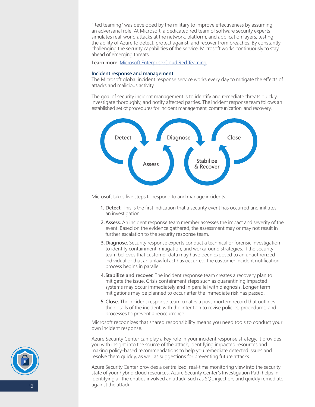"Red teaming" was developed by the military to improve effectiveness by assuming an adversarial role. At Microsoft, a dedicated red team of software security experts simulates real-world attacks at the network, platform, and application layers, testing the ability of Azure to detect, protect against, and recover from breaches. By constantly challenging the security capabilities of the service, Microsoft works continuously to stay ahead of emerging threats.

**Learn more:** [Microsoft Enterprise Cloud Red Teaming](http://go.microsoft.com/fwlink/?linkid=518599&clcid=0x409)

#### **Incident response and management**

The Microsoft global incident response service works every day to mitigate the effects of attacks and malicious activity.

The goal of security incident management is to identify and remediate threats quickly, investigate thoroughly, and notify affected parties. The incident response team follows an established set of procedures for incident management, communication, and recovery.



Microsoft takes five steps to respond to and manage incidents:

- **1. Detect**. This is the first indication that a security event has occurred and initiates an investigation.
- **2.Assess.** An incident response team member assesses the impact and severity of the event. Based on the evidence gathered, the assessment may or may not result in further escalation to the security response team.
- **3.Diagnose.** Security response experts conduct a technical or forensic investigation to identify containment, mitigation, and workaround strategies. If the security team believes that customer data may have been exposed to an unauthorized individual or that an unlawful act has occurred, the customer incident notification process begins in parallel.
- **4.Stabilize and recover.** The incident response team creates a recovery plan to mitigate the issue. Crisis containment steps such as quarantining impacted systems may occur immediately and in parallel with diagnosis. Longer term mitigations may be planned to occur after the immediate risk has passed.
- **5.Close.** The incident response team creates a post-mortem record that outlines the details of the incident, with the intention to revise policies, procedures, and processes to prevent a reoccurrence.

Microsoft recognizes that shared responsibility means you need tools to conduct your own incident response.

Azure Security Center can play a key role in your incident response strategy. It provides you with insight into the source of the attack, identifying impacted resources and making policy-based recommendations to help you remediate detected issues and resolve them quickly, as well as suggestions for preventing future attacks.

Azure Security Center provides a centralized, real-time monitoring view into the security state of your hybrid cloud resources. Azure Security Center's Investigation Path helps in identifying all the entities involved an attack, such as SQL injection, and quickly remediate against the attack.

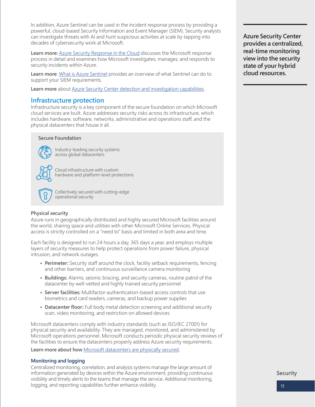<span id="page-10-0"></span>In addition, Azure Sentinel can be used in the incident response process by providing a powerful, cloud-based Security Information and Event Manager (SIEM). Security analysts can investigate threats with AI and hunt suspicious activities at scale by tapping into decades of cybersecurity work at Microsoft.

Learn more: [Azure Security Response in the Cloud](https://gallery.technet.microsoft.com/Azure-Security-Response-in-dd18c678) discusses the Microsoft response process in detail and examines how Microsoft investigates, manages, and responds to security incidents within Azure.

**Learn more**: [What is Azure Sentinel](https://docs.microsoft.com/en-us/azure/sentinel/overview) provides an overview of what Sentinel can do to support your SIEM requirements.

**Learn more** about **[Azure Security Center detection](https://docs.microsoft.com/en-us/azure/security-center/security-center-detection-capabilities) and investigation capabilities.** 

## **Infrastructure protection**

Infrastructure security is a key component of the secure foundation on which Microsoft cloud services are built. Azure addresses security risks across its infrastructure, which includes hardware, software, networks, administrative and operations staff, and the physical datacenters that house it all.

## **Secure Foundation**



Industry-leading security systems across global datacenters

Cloud infrastructure with custom hardware and platform-level protections



Collectively secured with cutting-edge operational security

## **Physical security**

Azure runs in geographically distributed and highly secured Microsoft facilities around the world, sharing space and utilities with other Microsoft Online Services. Physical access is strictly controlled on a "need to" basis and limited in both area and time.

Each facility is designed to run 24 hours a day, 365 days a year, and employs multiple layers of security measures to help protect operations from power failure, physical intrusion, and network outages.

- **• Perimeter:** Security staff around the clock, facility setback requirements, fencing and other barriers, and continuous surveillance camera monitoring
- **• Buildings:** Alarms, seismic bracing, and security cameras, routine patrol of the datacenter by well-vetted and highly trained security personnel
- **• Server facilities:** Multifactor-authentication-based access controls that use biometrics and card readers, cameras, and backup power supplies
- **• Datacenter floor:** Full body metal detection screening and additional security scan, video monitoring, and restriction on allowed devices

Microsoft datacenters comply with industry standards (such as ISO/IEC 27001) for physical security and availability. They are managed, monitored, and administered by Microsoft operations personnel. Microsoft conducts periodic physical security reviews of the facilities to ensure the datacenters properly address Azure security requirements.

**Learn more about how** [Microsoft datacenters are physically secured.](https://docs.microsoft.com/en-us/azure/security/azure-physical-security)

## **Monitoring and logging**

Centralized monitoring, correlation, and analysis systems manage the large amount of information generated by devices within the Azure environment, providing continuous visibility and timely alerts to the teams that manage the service. Additional monitoring, logging, and reporting capabilities further enhance visibility.

**Azure Security Center provides a centralized, real-time monitoring view into the security state of your hybrid cloud resources.** 

**Security**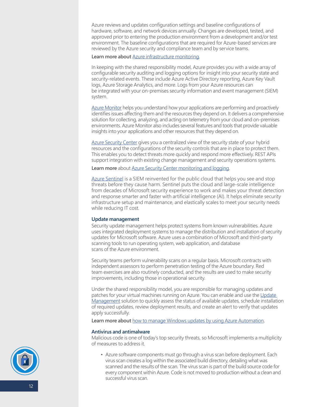Azure reviews and updates configuration settings and baseline configurations of hardware, software, and network devices annually. Changes are developed, tested, and approved prior to entering the production environment from a development and/or test environment. The baseline configurations that are required for Azure-based services are reviewed by the Azure security and compliance team and by service teams.

## Learn more about **Azure infrastructure monitoring**.

In keeping with the shared responsibility model, Azure provides you with a wide array of configurable security auditing and logging options for insight into your security state and security-related events. These include Azure Active Directory reporting, Azure Key Vault logs, Azure Storage Analytics, and more. Logs from your Azure resources can be integrated with your on-premises security information and event management (SIEM) system.

[Azure Monitor](https://docs.microsoft.com/en-us/azure/azure-monitor/overview) helps you understand how your applications are performing and proactively identifies issues affecting them and the resources they depend on. It delivers a comprehensive solution for collecting, analyzing, and acting on telemetry from your cloud and on-premises environments. Azure Monitor also includes several features and tools that provide valuable insights into your applications and other resources that they depend on.

Azure Security Center gives you a centralized view of the security state of your hybrid resources and the configurations of the security controls that are in place to protect them. This enables you to detect threats more quickly and respond more effectively. REST APIs support integration with existing change management and security operations systems.

**Learn more** about [Azure Security Center](https://docs.microsoft.com/en-us/azure/security-center/security-center-enable-data-collection) monitoring and logging.

[Azure Sentinel](https://azure.microsoft.com/en-us/services/azure-sentinel/) is a SIEM reinvented for the public cloud that helps you see and stop threats before they cause harm. Sentinel puts the cloud and large-scale intelligence from decades of Microsoft security experience to work and makes your threat detection and response smarter and faster with artificial intelligence (AI). It helps eliminate security infrastructure setup and maintenance, and elastically scales to meet your security needs while reducing IT cost.

## **Update management**

Security update management helps protect systems from known vulnerabilities. Azure uses integrated deployment systems to manage the distribution and installation of security updates for Microsoft software. Azure uses a combination of Microsoft and third-party scanning tools to run operating system, web application, and database scans of the Azure environment.

Security teams perform vulnerability scans on a regular basis. Microsoft contracts with independent assessors to perform penetration testing of the Azure boundary. Red team exercises are also routinely conducted, and the results are used to make security improvements, including those in operational security.

Under the shared responsibility model, you are responsible for managing updates and patches for your virtual machines running on Azure. You can enable and use the [Update](https://docs.microsoft.com/en-us/azure/automation/automation-update-management)  [Management](https://docs.microsoft.com/en-us/azure/automation/automation-update-management) solution to quickly assess the status of available updates, schedule installation of required updates, review deployment results, and create an alert to verify that updates apply successfully.

Learn more about [how to manage Windows updates by using Azure Automation.](https://docs.microsoft.com/en-us/azure/automation/automation-tutorial-update-management)

#### **Antivirus and antimalware**

Malicious code is one of today's top security threats, so Microsoft implements a multiplicity of measures to address it.

• Azure software components must go through a virus scan before deployment. Each virus scan creates a log within the associated build directory, detailing what was scanned and the results of the scan. The virus scan is part of the build source code for every component within Azure. Code is not moved to production without a clean and successful virus scan.

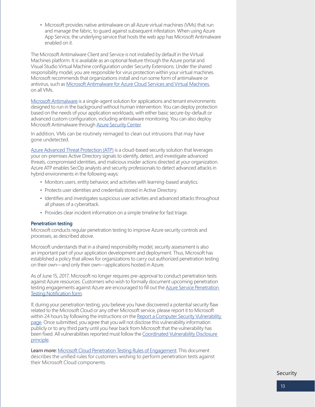• Microsoft provides native antimalware on all Azure virtual machines (VMs) that run and manage the fabric, to guard against subsequent infestation. When using Azure App Service, the underlying service that hosts the web app has Microsoft Antimalware enabled on it.

The Microsoft Antimalware Client and Service is not installed by default in the Virtual Machines platform. It is available as an optional feature through the Azure portal and Visual Studio Virtual Machine configuration under Security Extensions. Under the shared responsibility model, you are responsible for virus protection within your virtual machines. Microsoft recommends that organizations install and run some form of antimalware or antivirus, such as [Microsoft Antimalware for Azure Cloud Services and Virtual Machines](https://docs.microsoft.com/en-us/azure/security/azure-security-antimalware), on all VMs.

[Microsoft Antimalware](https://docs.microsoft.com/en-us/azure/security/fundamentals/antimalware) is a single-agent solution for applications and tenant environments designed to run in the background without human intervention. You can deploy protection based on the needs of your application workloads, with either basic secure-by-default or advanced custom configuration, including antimalware monitoring. You can also deploy Microsoft Antimalware through [Azure Security Center](https://azure.microsoft.com/en-us/services/security-center/).

In addition, VMs can be routinely reimaged to clean out intrusions that may have gone undetected.

[Azure Advanced Threat Protection \(ATP\)](https://azure.microsoft.com/en-us/features/azure-advanced-threat-protection/) is a cloud-based security solution that leverages your on-premises Active Directory signals to identify, detect, and investigate advanced threats, compromised identities, and malicious insider actions directed at your organization. Azure ATP enables SecOp analysts and security professionals to detect advanced attacks in hybrid environments in the following ways:

- Monitors users, entity behavior, and activities with learning-based analytics.
- Protects user identities and credentials stored in Active Directory.
- Identifies and investigates suspicious user activities and advanced attacks throughout all phases of a cyberattack.
- Provides clear incident information on a simple timeline for fast triage.

## **Penetration testing**

Microsoft conducts regular penetration testing to improve Azure security controls and processes, as described above.

Microsoft understands that in a shared responsibility model, security assessment is also an important part of your application development and deployment. Thus, Microsoft has established a policy that allows for organizations to carry out authorized penetration testing on their own—and only their own—applications hosted in Azure.

As of June 15, 2017, Microsoft no longer requires pre-approval to conduct penetration tests against Azure resources. Customers who wish to formally document upcoming penetration testing engagements against Azure are encouraged to fill out the Azure Service Penetration [Testing Notification form](https://portal.msrc.microsoft.com/en-us/engage/pentest).

If, during your penetration testing, you believe you have discovered a potential security flaw related to the Microsoft Cloud or any other Microsoft service, please report it to Microsoft within 24 hours by following the instructions on the Report a Computer Security Vulnerability [page.](https://www.microsoft.com/en-us/msrc/faqs-report-an-issue) Once submitted, you agree that you will not disclose this vulnerability information publicly or to any third party until you hear back from Microsoft that the vulnerability has been fixed. All vulnerabilities reported must follow the [Coordinated Vulnerability Disclosure](https://www.microsoft.com/en-us/msrc/cvd)  [principle](https://www.microsoft.com/en-us/msrc/cvd).

**Learn more:** [Microsoft Cloud Penetration Testing Rules of Engagement](https://www.microsoft.com/en-us/msrc/pentest-rules-of-engagement?rtc=1). This document describes the unified rules for customers wishing to perform penetration tests against their Microsoft Cloud components.

**Security**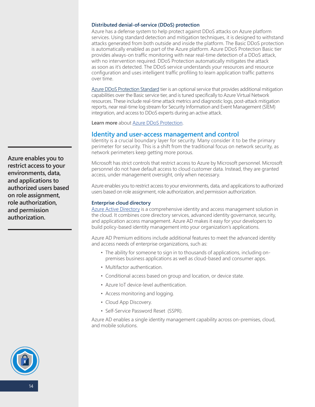#### <span id="page-13-0"></span>**Distributed denial-of-service (DDoS) protection**

Azure has a defense system to help protect against DDoS attacks on Azure platform services. Using standard detection and mitigation techniques, it is designed to withstand attacks generated from both outside and inside the platform. The Basic DDoS protection is automatically enabled as part of the Azure platform. Azure DDoS Protection Basic tier provides always-on traffic monitoring with near real-time detection of a DDoS attack, with no intervention required. DDoS Protection automatically mitigates the attack as soon as it's detected. The DDoS service understands your resources and resource configuration and uses intelligent traffic profiling to learn application traffic patterns over time.

[Azure DDoS Protection](https:///docs.microsoft.com/en-us/azure/virtual-network/ddos-protection-overview) Standard tier is an optional service that provides additional mitigation capabilities over the Basic service tier, and is tuned specifically to Azure Virtual Network resources. These include real-time attack metrics and diagnostic logs, post-attack mitigation reports, near real-time log stream for Security Information and Event Management (SIEM) integration, and access to DDoS experts during an active attack.

**Learn more** about [Azure DDoS Protection.](https://docs.microsoft.com/en-us/azure/virtual-network/ddos-protection-overview)

## **Identity and user-access management and control**

Identity is a crucial boundary layer for security. Many consider it to be the primary perimeter for security. This is a shift from the traditional focus on network security, as network perimeters keep getting more porous.

Microsoft has strict controls that restrict access to Azure by Microsoft personnel. Microsoft personnel do not have default access to cloud customer data. Instead, they are granted access, under management oversight, only when necessary.

Azure enables you to restrict access to your environments, data, and applications to authorized users based on role assignment, role authorization, and permission authorization.

#### **Enterprise cloud directory**

[Azure Active Directory](https://azure.microsoft.com/en-us/services/active-directory/) is a comprehensive identity and access management solution in the cloud. It combines core directory services, advanced identity governance, security, and application access management. Azure AD makes it easy for your developers to build policy-based identity management into your organization's applications.

Azure AD Premium editions include additional features to meet the advanced identity and access needs of enterprise organizations, such as:

- The ability for someone to sign in to thousands of applications, including onpremises business applications as well as cloud-based and consumer apps.
- Multifactor authentication.
- Conditional access based on group and location, or device state.
- Azure IoT device-level authentication.
- Access monitoring and logging.
- Cloud App Discovery.
- Self-Service Password Reset (SSPR).

Azure AD enables a single identity management capability across on-premises, cloud, and mobile solutions.

**Azure enables you to restrict access to your environments, data, and applications to authorized users based on role assignment, role authorization, and permission authorization.**

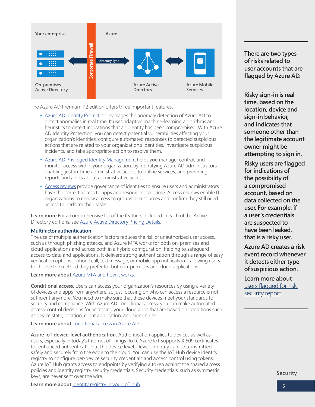

The Azure AD Premium P2 edition offers three important features:

- [Azure AD Identity Protection](https://docs.microsoft.com/en-us/azure/active-directory/identity-protection/overview) leverages the anomaly detection of Azure AD to detect anomalies in real time. It uses adaptive machine-learning algorithms and heuristics to detect indications that an identity has been compromised. With Azure AD Identity Protection, you can detect potential vulnerabilities affecting your organization's identities, configure automated responses to detected suspicious actions that are related to your organization's identities, investigate suspicious incidents, and take appropriate action to resolve them.
- [Azure AD Privileged Identity Management](https://docs.microsoft.com/en-us/azure/active-directory/privileged-identity-management/pim-configure) helps you manage, control, and monitor access within your organization, by identifying Azure AD administrators, enabling just-in-time administrative access to online services, and providing reports and alerts about administrative access.
- [Access reviews](https://docs.microsoft.com/en-us/azure/active-directory/governance/access-reviews-overview) provide governance of identities to ensure users and administrators have the correct access to apps and resources over time. Access reviews enable IT organizations to review access to groups or resources and confirm they still need access to perform their tasks.

**Learn more** For a comprehensive list of the features included in each of the Active Directory editions, see [Azure Active Directory Pricing Details](https://azure.microsoft.com/en-us/pricing/details/active-directory/).

## **Multifactor authentication**

The use of multiple authentication factors reduces the risk of unauthorized user access, such as through phishing attacks, and Azure MFA works for both on-premises and cloud applications and across both in a hybrid configuration, helping to safeguard access to data and applications. It delivers strong authentication through a range of easy verification options—phone call, text message, or mobile app notification—allowing users to choose the method they prefer for both on-premises and cloud applications.

#### **Learn more about** [Azure MFA and how it works](https://docs.microsoft.com/en-us/azure/active-directory/authentication/concept-mfa-howitworks).

**Conditional access.** Users can access your organization's resources by using a variety of devices and apps from anywhere, so just focusing on who can access a resource is not sufficient anymore. You need to make sure that these devices meet your standards for security and compliance. With Azure AD conditional access, you can make automated access-control decisions for accessing your cloud apps that are based on conditions such as device state, location, client application, and sign-in risk.

#### **Learn more about** [conditional access in Azure AD](https://docs.microsoft.com/en-us/azure/active-directory/conditional-access/overview).

**Azure IoT device-level authentication.** Authentication applies to devices as well as users, especially in today's Internet of Things (IoT). Azure IoT supports X.509 certificates for enhanced authentication at the device level. Device identity can be transmitted safely and securely from the edge to the cloud. You can use the IoT Hub device identity registry to configure per-device security credentials and access control using tokens. Azure IoT Hub grants access to endpoints by verifying a token against the shared access policies and identity registry security credentials. Security credentials, such as symmetric keys, are never sent over the wire.

**Learn more about** [identity registry in your IoT hub](https://docs.microsoft.com/en-us/azure/iot-hub/iot-hub-devguide-identity-registry).

**There are two types of risks related to user accounts that are flagged by Azure AD.** 

**Risky sign-in is real time, based on the location, device and sign-in behavior, and indicates that someone other than the legitimate account owner might be attempting to sign in.** 

**Risky users are flagged for indications of the possibility of a compromised account, based on data collected on the user. For example, if a user's credentials are suspected to have been leaked, that is a risky user.**

**Azure AD creates a risk event record whenever it detects either type of suspicious action.** 

**Learn more about**  [users flagged for risk](https://docs.microsoft.com/en-us/azure/active-directory/reports-monitoring/concept-user-at-risk)  [security report](https://docs.microsoft.com/en-us/azure/active-directory/reports-monitoring/concept-user-at-risk).

**Security**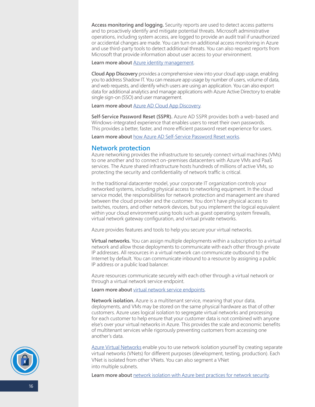<span id="page-15-0"></span>**Access monitoring and logging.** Security reports are used to detect access patterns and to proactively identify and mitigate potential threats. Microsoft administrative operations, including system access, are logged to provide an audit trail if unauthorized or accidental changes are made. You can turn on additional access monitoring in Azure and use third-party tools to detect additional threats. You can also request reports from Microsoft that provide information about user access to your environment.

#### Learn more about **Azure identity** management.

**Cloud App Discovery** provides a comprehensive view into your cloud app usage, enabling you to address Shadow IT. You can measure app usage by number of users, volume of data, and web requests, and identify which users are using an application. You can also export data for additional analytics and manage applications with Azure Active Directory to enable single sign-on (SSO) and user management.

**Learn more about** [Azure AD Cloud App Discovery.](https://docs.microsoft.com/en-us/cloud-app-security/set-up-cloud-discovery)

**Self-Service Password Reset (SSPR).** Azure AD SSPR provides both a web-based and Windows-integrated experience that enables users to reset their own passwords. This provides a better, faster, and more efficient password reset experience for users.

**Learn more about** [how Azure AD Self-Service Password Reset works](https://docs.microsoft.com/en-us/azure/active-directory/authentication/concept-sspr-howitworks).

## **Network protection**

Azure networking provides the infrastructure to securely connect virtual machines (VMs) to one another and to connect on-premises datacenters with Azure VMs and PaaS services. The Azure shared infrastructure hosts hundreds of millions of active VMs, so protecting the security and confidentiality of network traffic is critical.

In the traditional datacenter model, your corporate IT organization controls your networked systems, including physical access to networking equipment. In the cloud service model, the responsibilities for network protection and management are shared between the cloud provider and the customer. You don't have physical access to switches, routers, and other network devices, but you implement the logical equivalent within your cloud environment using tools such as guest operating system firewalls, virtual network gateway configuration, and virtual private networks.

Azure provides features and tools to help you secure your virtual networks.

**Virtual networks.** You can assign multiple deployments within a subscription to a virtual network and allow those deployments to communicate with each other through private IP addresses. All resources in a virtual network can communicate outbound to the Internet by default. You can communicate inbound to a resource by assigning a public IP address or a public load balancer.

Azure resources communicate securely with each other through a virtual network or through a virtual network service endpoint.

## **Learn more about** [virtual network service endpoints](https://docs.microsoft.com/en-us/azure/virtual-network/virtual-network-service-endpoints-overview).

**Network isolation.** Azure is a multitenant service, meaning that your data, deployments, and VMs may be stored on the same physical hardware as that of other customers. Azure uses logical isolation to segregate virtual networks and processing for each customer to help ensure that your customer data is not combined with anyone else's over your virtual networks in Azure. This provides the scale and economic benefits of multitenant services while rigorously preventing customers from accessing one another's data.

[Azure Virtual Networks](https://azure.microsoft.com/en-us/services/virtual-network/) enable you to use network isolation yourself by creating separate virtual networks (VNets) for different purposes (development, testing, production). Each VNet is isolated from other VNets. You can also segment a VNet into multiple subnets.

Learn more about [network isolation with Azure best practices for network security.](https://docs.microsoft.com/en-us/azure/security/fundamentals/network-best-practices)

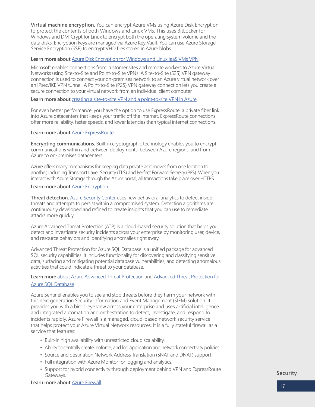<span id="page-16-0"></span>**Virtual machine encryption.** You can encrypt Azure VMs using Azure Disk Encryption to protect the contents of both Windows and Linux VMs. This uses BitLocker for Windows and DM-Crypt for Linux to encrypt both the operating system volume and the data disks. Encryption keys are managed via Azure Key Vault. You can use Azure Storage Service Encryption (SSE) to encrypt VHD files stored in Azure blobs.

## **Learn more about** [Azure Disk Encryption for Windows and Linux IaaS VMs VPN](https://docs.microsoft.com/en-us/azure/security/azure-security-disk-encryption-overview).

Microsoft enables connections from customer sites and remote workers to Azure Virtual Networks using Site-to-Site and Point-to-Site VPNs. A Site-to-Site (S2S) VPN gateway connection is used to connect your on-premises network to an Azure virtual network over an IPsec/IKE VPN tunnel. A Point-to-Site (P2S) VPN gateway connection lets you create a secure connection to your virtual network from an individual client computer.

Learn more about [creating a site-to-site VPN and a point-to-site VPN in Azure](https://docs.microsoft.com/en-us/azure/vpn-gateway/point-to-site-about).

For even better performance, you have the option to use ExpressRoute, a private fiber link into Azure datacenters that keeps your traffic off the Internet. ExpressRoute connections offer more reliability, faster speeds, and lower latencies than typical internet connections.

## **Learn more about** [Azure ExpressRoute.](https://azure.microsoft.com/en-us/services/expressroute/)

**Encrypting communications.** Built-in cryptographic technology enables you to encrypt communications within and between deployments, between Azure regions, and from Azure to on-premises datacenters.

Azure offers many mechanisms for keeping data private as it moves from one location to another, including Transport Layer Security (TLS) and Perfect Forward Secrecy (PFS). When you interact with Azure Storage through the Azure portal, all transactions take place over HTTPS.

## **Learn more about** [Azure Encryption](https://docs.microsoft.com/en-us/azure/security/fundamentals/encryption-overview).

**Threat detection.** [Azure Security Center](https://azure.microsoft.com/en-us/services/security-center/) uses new behavioral analytics to detect insider threats and attempts to persist within a compromised system. Detection algorithms are continuously developed and refined to create insights that you can use to remediate attacks more quickly.

Azure Advanced Threat Protection (ATP) is a cloud-based security solution that helps you detect and investigate security incidents across your enterprise by monitoring user, device, and resource behaviors and identifying anomalies right away.

Advanced Threat Protection for Azure SQL Database is a unified package for advanced SQL security capabilities. It includes functionality for discovering and classifying sensitive data, surfacing and mitigating potential database vulnerabilities, and detecting anomalous activities that could indicate a threat to your database.

## **Learn more** [about Azure Advanced Threat Protection](https://docs.microsoft.com/en-us/azure-advanced-threat-protection/what-is-atp) and [Advanced Threat Protection for](https://docs.microsoft.com/en-us/azure/sql-database/sql-advanced-threat-protection)  [Azure SQL Database](https://docs.microsoft.com/en-us/azure/sql-database/sql-advanced-threat-protection)

Azure Sentinel enables you to see and stop threats before they harm your network with this next generation Security Information and Event Management (SIEM) solution. It provides you with a bird's-eye view across your enterprise and uses artificial intelligence and integrated automation and orchestration to detect, investigate, and respond to incidents rapidly. Azure Firewall is a managed, cloud-based network security service that helps protect your Azure Virtual Network resources. It is a fully stateful firewall as a service that features:

- Built-in high availability with unrestricted cloud scalability.
- Ability to centrally create, enforce, and log application and network connectivity policies.
- Source and destination Network Address Translation (SNAT and DNAT) support.
- Full integration with Azure Monitor for logging and analytics.
- Support for hybrid connectivity through deployment behind VPN and ExpressRoute Gateways.

**Learn more about** [Azure Firewall](https://azure.microsoft.com/en-us/services/azure-firewall/).

## **Security**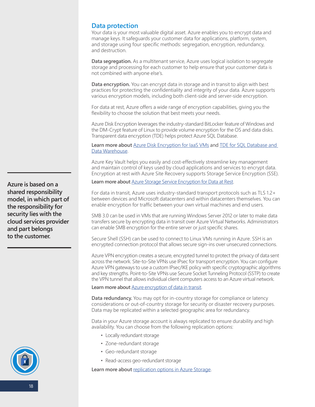## <span id="page-17-0"></span>**Data protection**

Your data is your most valuable digital asset. Azure enables you to encrypt data and manage keys. It safeguards your customer data for applications, platform, system, and storage using four specific methods: segregation, encryption, redundancy, and destruction.

**Data segregation.** As a multitenant service, Azure uses logical isolation to segregate storage and processing for each customer to help ensure that your customer data is not combined with anyone else's.

**Data encryption.** You can encrypt data in storage and in transit to align with best practices for protecting the confidentiality and integrity of your data. Azure supports various encryption models, including both client-side and server-side encryption.

For data at rest, Azure offers a wide range of encryption capabilities, giving you the flexibility to choose the solution that best meets your needs.

Azure Disk Encryption leverages the industry-standard BitLocker feature of Windows and the DM-Crypt feature of Linux to provide volume encryption for the OS and data disks. Transparent data encryption (TDE) helps protect Azure SQL Database.

**Learn more about** [Azure Disk Encryption for IaaS VMs](https://docs.microsoft.com/en-us/azure/security/azure-security-disk-encryption-overview) and [TDE for SQL Database and](https://docs.microsoft.com/en-us/azure/sql-database/transparent-data-encryption-azure-sql)  [Data Warehouse.](https://docs.microsoft.com/en-us/azure/sql-database/transparent-data-encryption-azure-sql)

Azure Key Vault helps you easily and cost-effectively streamline key management and maintain control of keys used by cloud applications and services to encrypt data. Encryption at rest with Azure Site Recovery supports Storage Service Encryption (SSE).

Learn more about **[Azure Storage Service Encryption for Data at Rest](https://docs.microsoft.com/en-us/azure/storage/common/storage-service-encryption).** 

For data in transit, Azure uses industry-standard transport protocols such as TLS 1.2+ between devices and Microsoft datacenters and within datacenters themselves. You can enable encryption for traffic between your own virtual machines and end users.

SMB 3.0 can be used in VMs that are running Windows Server 2012 or later to make data transfers secure by encrypting data in transit over Azure Virtual Networks. Administrators can enable SMB encryption for the entire server or just specific shares.

Secure Shell (SSH) can be used to connect to Linux VMs running in Azure. SSH is an encrypted connection protocol that allows secure sign-ins over unsecured connections.

Azure VPN encryption creates a secure, encrypted tunnel to protect the privacy of data sent across the network. Site-to-Site VPNs use IPsec for transport encryption. You can configure Azure VPN gateways to use a custom IPsec/IKE policy with specific cryptographic algorithms and key strengths. Point-to-Site VPNs use Secure Socket Tunneling Protocol (SSTP) to create the VPN tunnel that allows individual client computers access to an Azure virtual network.

## **Learn more about** [Azure encryption of data in transit](https://docs.microsoft.com/en-us/azure/security/security-azure-encryption-overview#encryption-of-data-in-transit).

**Data redundancy.** You may opt for in-country storage for compliance or latency considerations or out-of-country storage for security or disaster recovery purposes. Data may be replicated within a selected geographic area for redundancy.

Data in your Azure storage account is always replicated to ensure durability and high availability. You can choose from the following replication options:

- Locally redundant storage
- Zone-redundant storage
- Geo-redundant storage
- Read-access geo-redundant storage

Learn more about [replication options in Azure Storage.](https://docs.microsoft.com/en-us/azure/storage/common/storage-redundancy)

**Azure is based on a shared responsibility model, in which part of the responsibility for security lies with the cloud services provider and part belongs to the customer.**

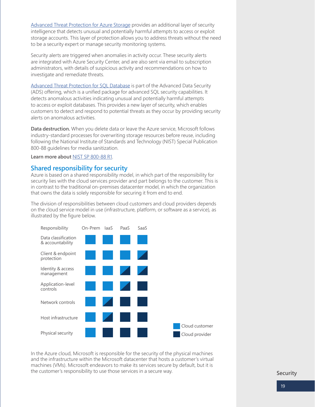[Advanced Threat Protection for Azure Storage](https://docs.microsoft.com/en-us/azure/storage/common/storage-advanced-threat-protection) provides an additional layer of security intelligence that detects unusual and potentially harmful attempts to access or exploit storage accounts. This layer of protection allows you to address threats without the need to be a security expert or manage security monitoring systems.

Security alerts are triggered when anomalies in activity occur. These security alerts are integrated with Azure Security Center, and are also sent via email to subscription administrators, with details of suspicious activity and recommendations on how to investigate and remediate threats.

[Advanced Threat Protection for SQL Database](https://docs.microsoft.com/en-us/azure/sql-database/sql-database-threat-detection-overview) is part of the Advanced Data Security (ADS) offering, which is a unified package for advanced SQL security capabilities. It detects anomalous activities indicating unusual and potentially harmful attempts to access or exploit databases. This provides a new layer of security, which enables customers to detect and respond to potential threats as they occur by providing security alerts on anomalous activities.

**Data destruction.** When you delete data or leave the Azure service, Microsoft follows industry-standard processes for overwriting storage resources before reuse, including following the National Institute of Standards and Technology (NIST) Special Publication 800-88 guidelines for media sanitization.

**Learn more about** [NIST SP 800-88 R1.](https://csrc.nist.gov/publications/detail/sp/800-88/rev-1/final)

## **Shared responsibility for security**

Azure is based on a shared responsibility model, in which part of the responsibility for security lies with the cloud services provider and part belongs to the customer. This is in contrast to the traditional on-premises datacenter model, in which the organization that owns the data is solely responsible for securing it from end to end.

The division of responsibilities between cloud customers and cloud providers depends on the cloud service model in use (infrastructure, platform, or software as a service), as illustrated by the figure below.



In the Azure cloud, Microsoft is responsible for the security of the physical machines and the infrastructure within the Microsoft datacenter that hosts a customer's virtual machines (VMs). Microsoft endeavors to make its services secure by default, but it is the customer's responsibility to use those services in a secure way.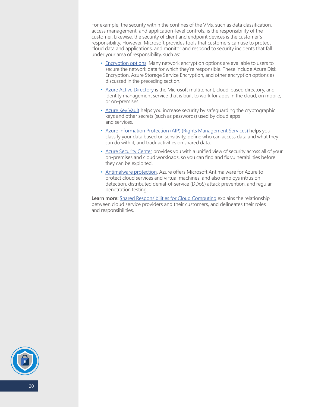For example, the security within the confines of the VMs, such as data classification, access management, and application-level controls, is the responsibility of the customer. Likewise, the security of client and endpoint devices is the customer's responsibility. However, Microsoft provides tools that customers can use to protect cloud data and applications, and monitor and respond to security incidents that fall under your area of responsibility, such as:

- [Encryption options.](https://docs.microsoft.com/en-us/azure/security/security-azure-encryption-overview) Many network encryption options are available to users to secure the network data for which they're responsible. These include Azure Disk Encryption, Azure Storage Service Encryption, and other encryption options as discussed in the preceding section.
- [Azure Active Directory](https://docs.microsoft.com/en-us/azure/active-directory/fundamentals/active-directory-whatis) is the Microsoft multitenant, cloud-based directory, and identity management service that is built to work for apps in the cloud, on mobile, or on-premises.
- [Azure Key Vault](https://azure.microsoft.com/en-us/services/key-vault/) helps you increase security by safeguarding the cryptographic keys and other secrets (such as passwords) used by cloud apps and services.
- [Azure Information Protection](https://docs.microsoft.com/en-us/azure/information-protection/what-is-information-protection) (AIP) (Rights Management Services) helps you classify your data based on sensitivity, define who can access data and what they can do with it, and track activities on shared data.
- [Azure Security Center](https://azure.microsoft.com/en-us/services/security-center/) provides you with a unified view of security across all of your on-premises and cloud workloads, so you can find and fix vulnerabilities before they can be exploited.
- [Antimalware protection.](https://docs.microsoft.com/en-us/azure/security/azure-security-antimalware) Azure offers Microsoft Antimalware for Azure to protect cloud services and virtual machines, and also employs intrusion detection, distributed denial-of-service (DDoS) attack prevention, and regular penetration testing.

**Learn more:** [Shared Responsibilities for Cloud Computing](https://gallery.technet.microsoft.com/Shared-Responsibilities-81d0ff91) explains the relationship between cloud service providers and their customers, and delineates their roles and responsibilities.

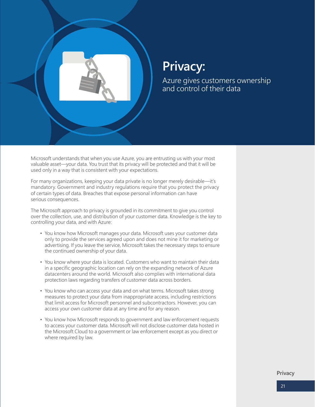

## **Privacy:**

Azure gives customers ownership and control of their data

Microsoft understands that when you use Azure, you are entrusting us with your most valuable asset—your data. You trust that its privacy will be protected and that it will be used only in a way that is consistent with your expectations.

For many organizations, keeping your data private is no longer merely desirable—it's mandatory. Government and industry regulations require that you protect the privacy of certain types of data. Breaches that expose personal information can have serious consequences.

The Microsoft approach to privacy is grounded in its commitment to give you control over the collection, use, and distribution of your customer data. Knowledge is the key to controlling your data, and with Azure:

- You know how Microsoft manages your data. Microsoft uses your customer data only to provide the services agreed upon and does not mine it for marketing or advertising. If you leave the service, Microsoft takes the necessary steps to ensure the continued ownership of your data.
- You know where your data is located. Customers who want to maintain their data in a specific geographic location can rely on the expanding network of Azure datacenters around the world. Microsoft also complies with international data protection laws regarding transfers of customer data across borders.
- You know who can access your data and on what terms. Microsoft takes strong measures to protect your data from inappropriate access, including restrictions that limit access for Microsoft personnel and subcontractors. However, you can access your own customer data at any time and for any reason.
- You know how Microsoft responds to government and law enforcement requests to access your customer data. Microsoft will not disclose customer data hosted in the Microsoft Cloud to a government or law enforcement except as you direct or where required by law.

**Privacy**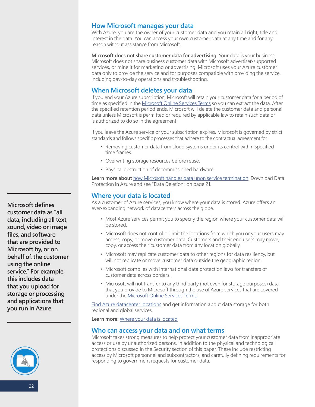## <span id="page-21-0"></span>**How Microsoft manages your data**

With Azure, you are the owner of your customer data and you retain all right, title and interest in the data. You can access your own customer data at any time and for any reason without assistance from Microsoft.

**Microsoft does not share customer data for advertising.** Your data is your business. Microsoft does not share business customer data with Microsoft advertiser-supported services, or mine it for marketing or advertising. Microsoft uses your Azure customer data only to provide the service and for purposes compatible with providing the service, including day-to-day operations and troubleshooting.

## **When Microsoft deletes your data**

If you end your Azure subscription, Microsoft will retain your customer data for a period of time as specified in the Microsoft Online Services Terms so you can extract the data. After the specified retention period ends, Microsoft will delete the customer data and personal data unless Microsoft is permitted or required by applicable law to retain such data or is authorized to do so in the agreement.

If you leave the Azure service or your subscription expires, Microsoft is governed by strict standards and follows specific processes that adhere to the contractual agreement for:

- Removing customer data from cloud systems under its control within specified time frames.
- Overwriting storage resources before reuse.
- Physical destruction of decommissioned hardware.

Learn more about [how Microsoft handles data upon service termination.](https://www.microsoft.com/en-us/trustcenter/privacy/data-management#leave) Download Data Protection in Azure and see "Data Deletion" on page 21.

## **Where your data is located**

As a customer of Azure services, you know where your data is stored. Azure offers an ever-expanding network of datacenters across the globe.

- Most Azure services permit you to specify the region where your customer data will be stored.
- Microsoft does not control or limit the locations from which you or your users may access, copy, or move customer data. Customers and their end users may move, copy, or access their customer data from any location globally.
- Microsoft may replicate customer data to other regions for data resiliency, but will not replicate or move customer data outside the geographic region.
- Microsoft complies with international data protection laws for transfers of customer data across borders.
- Microsoft will not transfer to any third party (not even for storage purposes) data that you provide to Microsoft through the use of Azure services that are covered under the [Microsoft Online Services Terms](http://www.microsoftvolumelicensing.com/DocumentSearch.aspx?Mode=3&DocumentTypeId=31).

[Find Azure datacenter locations](http://azuredatacentermap.azurewebsites.net/) and get information about data storage for both regional and global services.

**Learn more:** [Where your data is located](https://www.microsoft.com/en-us/trustcenter/privacy/data-management/data-location)

## **Who can access your data and on what terms**

Microsoft takes strong measures to help protect your customer data from inappropriate access or use by unauthorized persons. In addition to the physical and technological protections discussed in the Security section of this paper. These include restricting access by Microsoft personnel and subcontractors, and carefully defining requirements for responding to government requests for customer data.

**Microsoft defines customer data as "all data, including all text, sound, video or image files, and software that are provided to Microsoft by, or on behalf of, the customer using the online service." For example, this includes data that you upload for storage or processing and applications that you run in Azure.**

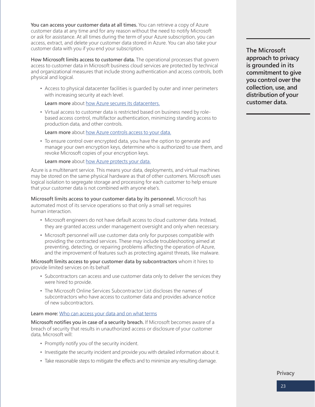<span id="page-22-0"></span>You can access your customer data at all times. You can retrieve a copy of Azure customer data at any time and for any reason without the need to notify Microsoft or ask for assistance. At all times during the term of your Azure subscription, you can access, extract, and delete your customer data stored in Azure. You can also take your customer data with you if you end your subscription.

**How Microsoft limits access to customer data.** The operational processes that govern access to customer data in Microsoft business cloud services are protected by technical and organizational measures that include strong authentication and access controls, both physical and logical.

• Access to physical datacenter facilities is guarded by outer and inner perimeters with increasing security at each level.

Learn more about [how Azure secures its datacenters.](https://docs.microsoft.com/en-us/azure/security/azure-physical-security)

• Virtual access to customer data is restricted based on business need by rolebased access control, multifactor authentication, minimizing standing access to production data, and other controls.

**Learn more** about [how Azure controls access to your data.](https://www.microsoft.com/en-us/trustcenter/privacy/data-management/data-access)

• To ensure control over encrypted data, you have the option to generate and manage your own encryption keys, determine who is authorized to use them, and revoke Microsoft copies of your encryption keys.

Learn more about [how Azure protects your data.](https://www.microsoft.com/en-us/trustcenter/privacy/data-management)

Azure is a multitenant service. This means your data, deployments, and virtual machines may be stored on the same physical hardware as that of other customers. Microsoft uses logical isolation to segregate storage and processing for each customer to help ensure that your customer data is not combined with anyone else's.

**Microsoft limits access to your customer data by its personnel.** Microsoft has automated most of its service operations so that only a small set requires human interaction.

- Microsoft engineers do not have default access to cloud customer data. Instead, they are granted access under management oversight and only when necessary.
- Microsoft personnel will use customer data only for purposes compatible with providing the contracted services. These may include troubleshooting aimed at preventing, detecting, or repairing problems affecting the operation of Azure, and the improvement of features such as protecting against threats, like malware.

**Microsoft limits access to your customer data by subcontractors** whom it hires to provide limited services on its behalf.

- Subcontractors can access and use customer data only to deliver the services they were hired to provide.
- [The Microsoft Online Services Subcontractor List](https://query.prod.cms.rt.microsoft.com/cms/api/am/binary/RE2JOJ1) discloses the names of subcontractors who have access to customer data and provides advance notice of new subcontractors.

## **Learn more:** [Who can access your data and on what terms](https://www.microsoft.com/en-us/trustcenter/privacy/data-management/data-access)

**Microsoft notifies you in case of a security breach.** If Microsoft becomes aware of a breach of security that results in unauthorized access or disclosure of your customer data, Microsoft will:

- Promptly notify you of the security incident.
- Investigate the security incident and provide you with detailed information about it.
- Take reasonable steps to mitigate the effects and to minimize any resulting damage.

**The Microsoft approach to privacy is grounded in its commitment to give you control over the collection, use, and distribution of your customer data.** 

**Privacy**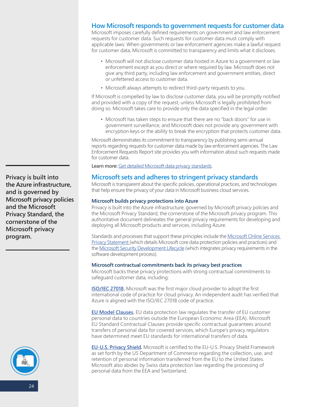## <span id="page-23-0"></span>**How Microsoft responds to government requests for customer data**

Microsoft imposes carefully defined requirements on government and law enforcement requests for customer data. Such requests for customer data must comply with applicable laws. When governments or law enforcement agencies make a lawful request for customer data, Microsoft is committed to transparency and limits what it discloses.

- Microsoft will not disclose customer data hosted in Azure to a government or law enforcement except as you direct or where required by law. Microsoft does not give any third party, including law enforcement and government entities, direct or unfettered access to customer data.
- Microsoft always attempts to redirect third-party requests to you.

If Microsoft is compelled by law to disclose customer data, you will be promptly notified and provided with a copy of the request, unless Microsoft is legally prohibited from doing so. Microsoft takes care to provide only the data specified in the legal order.

• Microsoft has taken steps to ensure that there are no "back doors" for use in government surveillance, and Microsoft does not provide any government with encryption keys or the ability to break the encryption that protects customer data.

Microsoft demonstrates its commitment to transparency by publishing semi-annual reports regarding requests for customer data made by law enforcement agencies. The Law Enforcement Requests Report site provides you with information about such requests made for customer data.

**Learn more:** [Get detailed Microsoft data privacy standards](https://www.microsoft.com/en-us/trustcenter/privacy/privacy-overview#data-privacy-standards).

## **Microsoft sets and adheres to stringent privacy standards**

Microsoft is transparent about the specific policies, operational practices, and technologies that help ensure the privacy of your data in Microsoft business cloud services.

#### **Microsoft builds privacy protections into Azure**

Privacy is built into the Azure infrastructure, governed by Microsoft privacy policies and the Microsoft Privacy Standard, the cornerstone of the Microsoft privacy program. This authoritative document delineates the general privacy requirements for developing and deploying all Microsoft products and services, including Azure.

Standards and processes that support these principles include the Microsoft Online Services [Privacy Statement](https://privacy.microsoft.com/en-US/privacystatement) (which details Microsoft core data protection policies and practices) and the [Microsoft Security Development Lifecycle](https://www.microsoft.com/en-us/securityengineering/sdl/) (which integrates privacy requirements in the software development process).

## **Microsoft contractual commitments back its privacy best practices**

Microsoft backs these privacy protections with strong contractual commitments to safeguard customer data, including:

**[ISO/IEC 27018.](https://www.microsoft.com/en-us/trustcenter/compliance/iso-iec-27018 )** Microsoft was the first major cloud provider to adopt the first international code of practice for cloud privacy. An independent audit has verified that Azure is aligned with the ISO/IEC 27018 code of practice.

**[EU Model Clauses.](https://www.microsoft.com/en-us/trustcenter/Compliance/EU-Model-Clauses)** EU data protection law regulates the transfer of EU customer personal data to countries outside the European Economic Area (EEA). Microsoft EU Standard Contractual Clauses provide specific contractual guarantees around transfers of personal data for covered services, which Europe's privacy regulators have determined meet EU standards for international transfers of data.

**EU-U.S. Privacy Shield.** Microsoft is certified to the EU-U.S. Privacy Shield Framework as set forth by the US Department of Commerce regarding the collection, use, and retention of personal information transferred from the EU to the United States. Microsoft also abides by Swiss data protection law regarding the processing of personal data from the EEA and Switzerland.

**Privacy is built into the Azure infrastructure, and is governed by Microsoft privacy policies and the Microsoft Privacy Standard, the cornerstone of the Microsoft privacy program.** 

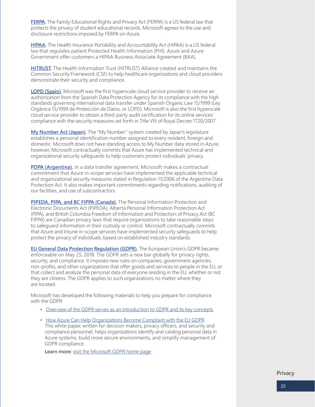<span id="page-24-0"></span>**[FERPA.](https://www.microsoft.com/en-us/trustcenter/compliance/ferpa)** The Family Educational Rights and Privacy Act (FERPA) is a US federal law that protects the privacy of student educational records. Microsoft agrees to the use and disclosure restrictions imposed by FERPA on Azure.

**[HIPAA.](https://www.microsoft.com/en-us/trustcenter/compliance/hipaa)** The Health Insurance Portability and Accountability Act (HIPAA) is a US federal law that regulates patient Protected Health Information (PHI). Azure and Azure Government offer customers a HIPAA Business Associate Agreement (BAA).

**[HITRUST.](https://www.microsoft.com/en-us/trustcenter/Compliance/HITRUST)** The Health Information Trust (HITRUST) Alliance created and maintains the Common Security Framework (CSF) to help healthcare organizations and cloud providers demonstrate their security and compliance.

**[LOPD \(Spain\).](https://www.microsoft.com/en-us/trustcenter/compliance/SpainLOPD)** Microsoft was the first hyperscale cloud service provider to receive an authorization from the Spanish Data Protection Agency for its compliance with the high standards governing international data transfer under Spanish Organic Law 15/1999 (Ley Orgánica 15/1999 de Protección de Datos, or LOPD). Microsoft is also the first hyperscale cloud service provider to obtain a third-party audit certification for its online services' compliance with the security measures set forth in Title VIII of Royal Decree 1720/2007.

My **Number Act (Japan).** The "My Number" system created by Japan's legislature establishes a personal identification number assigned to every resident, foreign and domestic. Microsoft does not have standing access to My Number data stored in Azure; however, Microsoft contractually commits that Azure has implemented technical and organizational security safeguards to help customers protect individuals' privacy.

**[PDPA \(Argentina\).](https://www.microsoft.com/en-us/trustcenter/privacy/privacy-overview)** In a data transfer agreement, Microsoft makes a contractual commitment that Azure in-scope services have implemented the applicable technical and organizational security measures stated in Regulation 11/2006 of the Argentine Data Protection Act. It also makes important commitments regarding notifications, auditing of our facilities, and use of subcontractors.

**[PIPEDA, PIPA, and BC FIPPA \(Canada\).](https://www.microsoft.com/en-us/trustcenter/privacy/privacy-overview)** The Personal Information Protection and Electronic Documents Act (PIPEDA), Alberta Personal Information Protection Act (PIPA), and British Columbia Freedom of Information and Protection of Privacy Act (BC FIPPA) are Canadian privacy laws that require organizations to take reasonable steps to safeguard information in their custody or control. Microsoft contractually commits that Azure and Intune in-scope services have implemented security safeguards to help protect the privacy of individuals, based on established industry standards.

**[EU General Data Protection Regulation \(GDPR\).](https://www.microsoft.com/en-us/trustcenter/Privacy/GDPR)** The European Union's GDPR became enforceable on May 25, 2018. The GDPR sets a new bar globally for privacy rights, security, and compliance. It imposes new rules on companies, government agencies, non-profits, and other organizations that offer goods and services to people in the EU, or that collect and analyze the personal data of everyone residing in the EU, whether or not they are citizens. The GDPR applies to such organizations no matter where they are located.

Microsoft has developed the following materials to help you prepare for compliance with the GDPR:

- [Overview of the GDPR serves as an introduction to GDPR and its key concepts](https://aka.ms/gdproverview)
- [How Azure Can Help Organizations Become Compliant with the EU GDPR](https://gallery.technet.microsoft.com/How-Azure-Can-Help-788a4979) This white paper, written for decision makers, privacy officers, and security and compliance personnel, helps organizations identify and catalog personal data in Azure systems, build more secure environments, and simplify management of GDPR compliance.

**Learn more:** [visit the Microsoft GDPR home page](https://www.microsoft.com/en-us/trustcenter/Privacy/GDPR)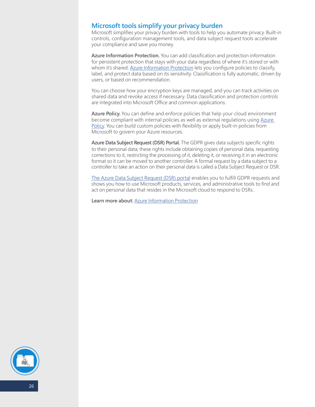## **Microsoft tools simplify your privacy burden**

Microsoft simplifies your privacy burden with tools to help you automate privacy. Built-in controls, configuration management tools, and data subject request tools accelerate your compliance and save you money.

**Azure Information Protection.** You can add classification and protection information for persistent protection that stays with your data regardless of where it's stored or with whom it's shared. [Azure Information Protection](https://azure.microsoft.com/en-us/services/information-protection/) lets you configure policies to classify, label, and protect data based on its sensitivity. Classification is fully automatic, driven by users, or based on recommendation.

You can choose how your encryption keys are managed, and you can track activities on shared data and revoke access if necessary. Data classification and protection controls are integrated into Microsoft Office and common applications.

**Azure Policy.** You can define and enforce policies that help your cloud environment become compliant with internal policies as well as external regulations using [Azure](https://azure.microsoft.com/en-us/services/azure-policy/)  [Policy.](https://azure.microsoft.com/en-us/services/azure-policy/) You can build custom policies with flexibility or apply built-in policies from Microsoft to govern your Azure resources.

**Azure Data Subject Request (DSR) Portal.** The GDPR gives data subjects specific rights to their personal data; these rights include obtaining copies of personal data, requesting corrections to it, restricting the processing of it, deleting it, or receiving it in an electronic format so it can be moved to another controller. A formal request by a data subject to a controller to take an action on their personal data is called a Data Subject Request or DSR.

[The Azure Data Subject Request \(DSR\) portal](https://docs.microsoft.com/en-us/microsoft-365/compliance/gdpr-dsr-azure) enables you to fulfill GDPR requests and shows you how to use Microsoft products, services, and administrative tools to find and act on personal data that resides in the Microsoft cloud to respond to DSRs.

Learn more about: [Azure Information Protection](https://azure.microsoft.com/en-us/services/information-protection/)

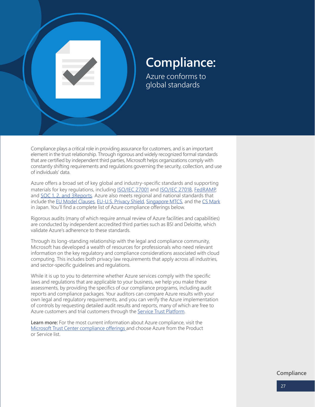<span id="page-26-0"></span>

## **Compliance:**

Azure conforms to global standards

Compliance plays a critical role in providing assurance for customers, and is an important element in the trust relationship. Through rigorous and widely recognized formal standards that are certified by independent third parties, Microsoft helps organizations comply with constantly shifting requirements and regulations governing the security, collection, and use of individuals' data.

Azure offers a broad set of key global and industry-specific standards and supporting materials for key regulations, including [ISO/IEC 27001](https://www.microsoft.com/en-us/trustcenter/Compliance/ISO-IEC-27001) and [ISO/IEC 27018,](https://www.microsoft.com/en-us/trustcenter/Compliance/ISO-IEC-27018) [FedRAMP](https://www.microsoft.com/en-us/trustcenter/Compliance/FedRAMP), and [SOC 1, 2, and 3R](https://www.microsoft.com/en-us/trustcenter/Compliance/SOC)eports. Azure also meets regional and national standards that include the [EU Model Clauses](https://www.microsoft.com/en-us/trustcenter/Compliance/EU-Model-Clauses), [EU-U.S. Privacy Shield](https://privacy.microsoft.com/en-US/microsoft-eu-us-privacy-shield), [Singapore MTCS](https://www.microsoft.com/en-us/trustcenter/Compliance/MTCS), and the [CS Mark](https://www.microsoft.com/en-us/trustcenter/Compliance/Cloud-Security-Mark) in Japan. You'll find a complete list of Azure compliance offerings below.

Rigorous audits (many of which require annual review of Azure facilities and capabilities) are conducted by independent accredited third parties such as BSI and Deloitte, which validate Azure's adherence to these standards.

Through its long-standing relationship with the legal and compliance community, Microsoft has developed a wealth of resources for professionals who need relevant information on the key regulatory and compliance considerations associated with cloud computing. This includes both privacy law requirements that apply across all industries, and sector-specific guidelines and regulations.

While it is up to you to determine whether Azure services comply with the specific laws and regulations that are applicable to your business, we help you make these assessments, by providing the specifics of our compliance programs, including audit reports and compliance packages. Your auditors can compare Azure results with your own legal and regulatory requirements, and you can verify the Azure implementation of controls by requesting detailed audit results and reports, many of which are free to Azure customers and trial customers through the [Service Trust Platform.](https://www.microsoft.com/en-us/trustcenter/STP/default.aspx)

**Learn more:** For the most current information about Azure compliance, visit the [Microsoft Trust Center compliance offerings](https://www.microsoft.com/en-us/trustcenter/compliance/complianceofferings) and choose Azure from the Product or Service list.

**Compliance**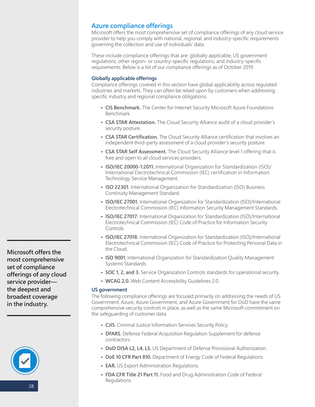## <span id="page-27-0"></span>**Azure compliance offerings**

Microsoft offers the most comprehensive set of compliance offerings of any cloud service provider to help you comply with national, regional, and industry-specific requirements governing the collection and use of individuals' data.

These include compliance offerings that are: globally applicable, US government regulations, other region- or country-specific regulations, and industry-specific requirements. Below is a list of our compliance offerings as of October 2019.

## **Globally applicable offerings**

Compliance offerings covered in this section have global applicability across regulated industries and markets. They can often be relied upon by customers when addressing specific industry and regional compliance obligations.

- **• CIS Benchmark.** The Center for Internet Security Microsoft Azure Foundations Benchmark.
- **• CSA STAR Attestation.** The Cloud Security Alliance audit of a cloud provider's security posture.
- **• CSA STAR Certification.** The Cloud Security Alliance certification that involves an independent third-party assessment of a cloud provider's security posture.
- **• CSA STAR Self Assessment.** The Cloud Security Alliance level 1 offering that is free and open to all cloud services providers.
- **• ISO/IEC 20000-1:2011.** International Organization for Standardization (ISO)/ International Electrotechnical Commission (IEC) certification in Information Technology Service Management.
- **• ISO 22301.** International Organization for Standardization (ISO) Business Continuity Management Standard.
- **• ISO/IEC 27001.** International Organization for Standardization (ISO)/International Electrotechnical Commission (IEC) Information Security Management Standards.
- **• ISO/IEC 27017.** International Organization for Standardization (ISO)/International Electrotechnical Commission (IEC) Code of Practice for Information Security Controls.
- **• ISO/IEC 27018.** International Organization for Standardization (ISO)/International Electrotechnical Commission (IEC) Code of Practice for Protecting Personal Data in the Cloud.
- **• ISO 9001.** International Organization for Standardization Quality Management Systems Standards.
- **• SOC 1, 2, and 3.** Service Organization Controls standards for operational security.
- **• WCAG 2.0.** Web Content Accessibility Guidelines 2.0.

## **US government**

The following compliance offerings are focused primarily on addressing the needs of US Government. Azure, Azure Government, and Azure Government for DoD have the same comprehensive security controls in place, as well as the same Microsoft commitment on the safeguarding of customer data.

- **• CJIS**. Criminal Justice Information Services Security Policy.
- **• DFARS.** Defense Federal Acquisition Regulation Supplement for defense contractors.
- **• DoD DISA L2, L4, L5.** US Department of Defense Provisional Authorization.
- **• DoE 10 CFR Part 810.** Department of Energy Code of Federal Regulations.
- **• EAR.** US Export Administration Regulations.
- **• FDA CFR Title 21 Part 11.** Food and Drug Administration Code of Federal Regulations.

**Microsoft offers the most comprehensive set of compliance offerings of any cloud service provider the deepest and broadest coverage in the industry.**

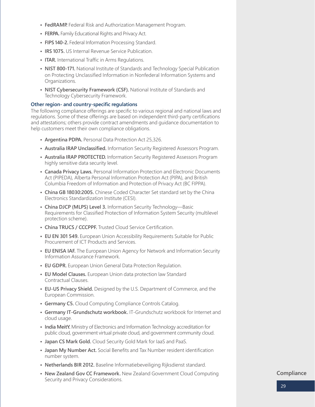- **• FedRAMP.** Federal Risk and Authorization Management Program.
- **• FERPA.** Family Educational Rights and Privacy Act.
- **• FIPS 140-2.** Federal Information Processing Standard.
- **• IRS 1075.** US Internal Revenue Service Publication.
- **• ITAR.** International Traffic in Arms Regulations.
- **• NIST 800-171.** National Institute of Standards and Technology Special Publication on Protecting Unclassified Information in Nonfederal Information Systems and Organizations.
- **• NIST Cybersecurity Framework (CSF).** National Institute of Standards and Technology Cybersecurity Framework.

## **Other region- and country-specific regulations**

The following compliance offerings are specific to various regional and national laws and regulations. Some of these offerings are based on independent third-party certifications and attestations; others provide contract amendments and guidance documentation to help customers meet their own compliance obligations.

- **• Argentina PDPA.** Personal Data Protection Act 25,326.
- **• Australia IRAP Unclassified.** Information Security Registered Assessors Program.
- **• Australia IRAP PROTECTED.** Information Security Registered Assessors Program highly sensitive data security level.
- **• Canada Privacy Laws.** Personal Information Protection and Electronic Documents Act (PIPEDA), Alberta Personal Information Protection Act (PIPA), and British Columbia Freedom of Information and Protection of Privacy Act (BC FIPPA).
- **• China GB 18030:2005.** Chinese Coded Character Set standard set by the China Electronics Standardization Institute (CESI).
- **• China DJCP (MLPS) Level 3.** Information Security Technology—Basic Requirements for Classified Protection of Information System Security (multilevel protection scheme).
- **• China TRUCS / CCCPPF.** Trusted Cloud Service Certification.
- **• EU EN 301 549.** European Union Accessibility Requirements Suitable for Public Procurement of ICT Products and Services.
- **• EU ENISA IAF.** The European Union Agency for Network and Information Security Information Assurance Framework.
- **• EU GDPR.** European Union General Data Protection Regulation.
- **• EU Model Clauses.** European Union data protection law Standard Contractual Clauses.
- **• EU-US Privacy Shield.** Designed by the U.S. Department of Commerce, and the European Commission.
- **• Germany C5.** Cloud Computing Compliance Controls Catalog.
- **• Germany IT-Grundschutz workbook.** IT-Grundschutz workbook for Internet and cloud usage.
- **• India MeitY.** Ministry of Electronics and Information Technology accreditation for public cloud, government virtual private cloud, and government community cloud.
- **• Japan CS Mark Gold.** Cloud Security Gold Mark for IaaS and PaaS.
- **• Japan My Number Act.** Social Benefits and Tax Number resident identification number system.
- **• Netherlands BIR 2012.** Baseline Informatiebeveiliging Rijksdienst standard.
- **• New Zealand Gov CC Framework.** New Zealand Government Cloud Computing Security and Privacy Considerations.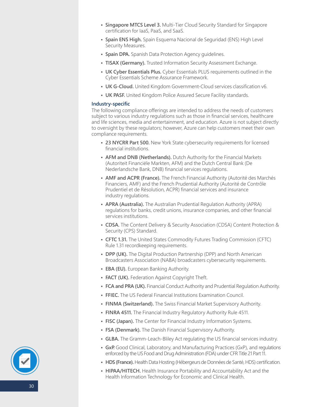- **• Singapore MTCS Level 3.** Multi-Tier Cloud Security Standard for Singapore certification for IaaS, PaaS, and SaaS.
- **• Spain ENS High.** Spain Esquema Nacional de Seguridad (ENS) High Level Security Measures.
- **• Spain DPA.** Spanish Data Protection Agency guidelines.
- **• TISAX (Germany).** Trusted Information Security Assessment Exchange.
- **• UK Cyber Essentials Plus.** Cyber Essentials PLUS requirements outlined in the Cyber Essentials Scheme Assurance Framework.
- **• UK G-Cloud.** United Kingdom Government-Cloud services classification v6.
- **• UK PASF.** United Kingdom Police Assured Secure Facility standards.

## **Industry-specific**

The following compliance offerings are intended to address the needs of customers subject to various industry regulations such as those in financial services, healthcare and life sciences, media and entertainment, and education. Azure is not subject directly to oversight by these regulators; however, Azure can help customers meet their own compliance requirements.

- **• 23 NYCRR Part 500.** New York State cybersecurity requirements for licensed financial institutions.
- **• AFM and DNB (Netherlands).** Dutch Authority for the Financial Markets (Autoriteit Financiële Markten, AFM) and the Dutch Central Bank (De Nederlandsche Bank, DNB) financial services regulations.
- **• AMF and ACPR (France).** The French Financial Authority (Autorité des Marchés Financiers, AMF) and the French Prudential Authority (Autorité de Contrôle Prudentiel et de Résolution, ACPR) financial services and insurance industry regulations.
- **• APRA (Australia).** The Australian Prudential Regulation Authority (APRA) regulations for banks, credit unions, insurance companies, and other financial services institutions.
- **• CDSA.** The Content Delivery & Security Association (CDSA) Content Protection & Security (CPS) Standard.
- **• CFTC 1.31.** The United States Commodity Futures Trading Commission (CFTC) Rule 1.31 recordkeeping requirements.
- **• DPP (UK).** The Digital Production Partnership (DPP) and North American Broadcasters Association (NABA) broadcasters cybersecurity requirements.
- **• EBA (EU).** European Banking Authority.
- **• FACT (UK).** Federation Against Copyright Theft.
- **• FCA and PRA (UK).** Financial Conduct Authority and Prudential Regulation Authority.
- **• FFIEC.** The US Federal Financial Institutions Examination Council.
- **• FINMA (Switzerland).** The Swiss Financial Market Supervisory Authority.
- **• FINRA 4511.** The Financial Industry Regulatory Authority Rule 4511.
- **• FISC (Japan).** The Center for Financial Industry Information Systems.
- **• FSA (Denmark).** The Danish Financial Supervisory Authority.
- **• GLBA.** The Gramm-Leach-Bliley Act regulating the US financial services industry.
- **• GxP.** Good Clinical, Laboratory, and Manufacturing Practices (GxP), and regulations enforced by the US Food and Drug Administration (FDA) under CFR Title 21 Part 11.
- **• HDS (France).** Health Data Hosting (Hébergeurs de Données de Santé, HDS) certification.
- **• HIPAA/HITECH.** Health Insurance Portability and Accountability Act and the Health Information Technology for Economic and Clinical Health.

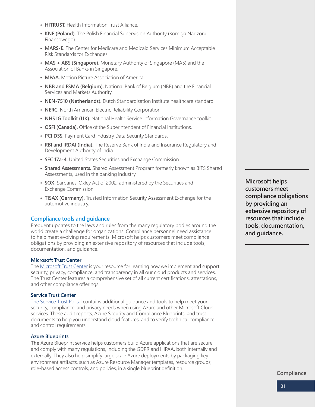- **• HITRUST.** Health Information Trust Alliance.
- **• KNF (Poland).** The Polish Financial Supervision Authority (Komisja Nadzoru Finansowego).
- **• MARS-E.** The Center for Medicare and Medicaid Services Minimum Acceptable Risk Standards for Exchanges.
- **• MAS + ABS (Singapore).** Monetary Authority of Singapore (MAS) and the Association of Banks in Singapore.
- **• MPAA.** Motion Picture Association of America.
- **• NBB and FSMA (Belgium).** National Bank of Belgium (NBB) and the Financial Services and Markets Authority.
- **• NEN-7510 (Netherlands).** Dutch Standardisation Institute healthcare standard.
- **• NERC.** North American Electric Reliability Corporation.
- **• NHS IG Toolkit (UK).** National Health Service Information Governance toolkit.
- **• OSFI (Canada).** Office of the Superintendent of Financial Institutions.
- **• PCI DSS.** Payment Card Industry Data Security Standards.
- **• RBI and IRDAI (India).** The Reserve Bank of India and Insurance Regulatory and Development Authority of India.
- **• SEC 17a-4.** United States Securities and Exchange Commission.
- **• Shared Assessments.** Shared Assessment Program formerly known as BITS Shared Assessments, used in the banking industry.
- **• SOX.** Sarbanes-Oxley Act of 2002, administered by the Securities and Exchange Commission.
- **• TISAX (Germany).** Trusted Information Security Assessment Exchange for the automotive industry.

## **Compliance tools and guidance**

Frequent updates to the laws and rules from the many regulatory bodies around the world create a challenge for organizations. Compliance personnel need assistance to help meet evolving requirements. Microsoft helps customers meet compliance obligations by providing an extensive repository of resources that include tools, documentation, and guidance.

## **Microsoft Trust Center**

The [Microsoft Trust Center](http://www.microsoft.com/trustcenter) is your resource for learning how we implement and support security, privacy, compliance, and transparency in all our cloud products and services. The Trust Center features a comprehensive set of all current certifications, attestations, and other compliance offerings.

## **Service Trust Center**

[The Service Trust Portal](https://servicetrust.microsoft.com/ComplianceManager) contains additional guidance and tools to help meet your security, compliance, and privacy needs when using Azure and other Microsoft Cloud services. These audit reports, Azure Security and Compliance Blueprints, and trust documents to help you understand cloud features, and to verify technical compliance and control requirements.

## **Azure Blueprints**

**The** Azure Blueprint service helps customers build Azure applications that are secure and comply with many regulations, including the GDPR and HIPAA, both internally and externally. They also help simplify large scale Azure deployments by packaging key environment artifacts, such as Azure Resource Manager templates, resource groups, role-based access controls, and policies, in a single blueprint definition.

**Microsoft helps customers meet compliance obligations by providing an extensive repository of resources that include tools, documentation, and guidance.**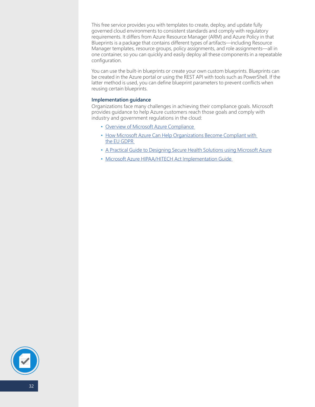<span id="page-31-0"></span>This free service provides you with templates to create, deploy, and update fully governed cloud environments to consistent standards and comply with regulatory requirements. It differs from Azure Resource Manager (ARM) and Azure Policy in that Blueprints is a package that contains different types of artifacts—including Resource Manager templates, resource groups, policy assignments, and role assignments—all in one container, so you can quickly and easily deploy all these components in a repeatable configuration.

You can use the built-in blueprints or create your own custom blueprints. Blueprints can be created in the Azure portal or using the REST API with tools such as PowerShell. If the latter method is used, you can define blueprint parameters to prevent conflicts when reusing certain blueprints.

#### **Implementation guidance**

Organizations face many challenges in achieving their compliance goals. Microsoft provides guidance to help Azure customers reach those goals and comply with industry and government regulations in the cloud:

- [Overview of Microsoft Azure Compliance](https://gallery.technet.microsoft.com/Overview-of-Azure-c1be3942)
- [How Microsoft Azure Can Help Organizations Become Compliant with](https://gallery.technet.microsoft.com/How-Azure-Can-Help-788a4979)  [the EU GDPR](https://gallery.technet.microsoft.com/How-Azure-Can-Help-788a4979)
- [A Practical Guide to Designing Secure Health Solutions using Microsoft Azure](https://gallery.technet.microsoft.com/Azure-A-Practical-Guide-to-5ebdc8bd)
- [Microsoft Azure HIPAA/HITECH Act Implementation Guide](https://gallery.technet.microsoft.com/Azure-HIPAAHITECH-Act-1d27efb0)

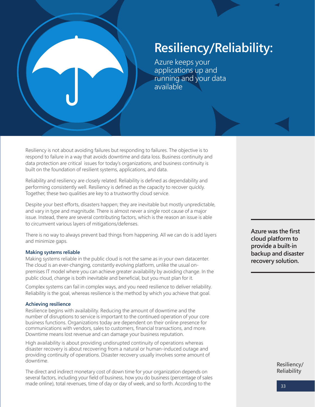## **Resiliency/Reliability:**

Azure keeps your applications up and running and your data available

Resiliency is not about avoiding failures but responding to failures. The objective is to respond to failure in a way that avoids downtime and data loss. Business continuity and data protection are critical issues for today's organizations, and business continuity is built on the foundation of resilient systems, applications, and data.

Reliability and resiliency are closely related. Reliability is defined as dependability and performing consistently well. Resiliency is defined as the capacity to recover quickly. Together, these two qualities are key to a trustworthy cloud service.

Despite your best efforts, disasters happen; they are inevitable but mostly unpredictable, and vary in type and magnitude. There is almost never a single root cause of a major issue. Instead, there are several contributing factors, which is the reason an issue is able to circumvent various layers of mitigations/defenses.

There is no way to always prevent bad things from happening. All we can do is add layers and minimize gaps.

## **Making systems reliable**

Making systems reliable in the public cloud is not the same as in your own datacenter. The cloud is an ever-changing, constantly evolving platform, unlike the usual onpremises IT model where you can achieve greater availability by avoiding change. In the public cloud, change is both inevitable and beneficial, but you must plan for it.

Complex systems can fail in complex ways, and you need resilience to deliver reliability. Reliability is the goal, whereas resilience is the method by which you achieve that goal.

## **Achieving resilience**

Resilience begins with availability. Reducing the amount of downtime and the number of disruptions to service is important to the continued operation of your core business functions. Organizations today are dependent on their online presence for communications with vendors, sales to customers, financial transactions, and more. Downtime means lost revenue and can damage your business reputation.

High availability is about providing undisrupted continuity of operations whereas disaster recovery is about recovering from a natural or human-induced outage and providing continuity of operations. Disaster recovery usually involves some amount of downtime.

The direct and indirect monetary cost of down time for your organization depends on several factors, including your field of business, how you do business (percentage of sales made online), total revenues, time of day or day of week, and so forth. According to the

**Azure was the first cloud platform to provide a built-in backup and disaster recovery solution.** 

> **Resiliency/ Reliability**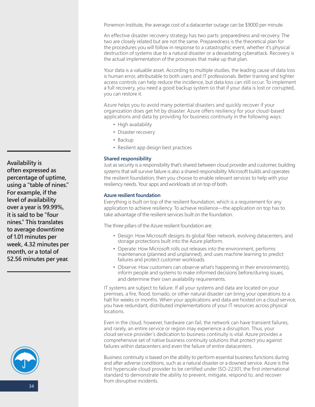<span id="page-33-0"></span>Ponemon Institute, the average cost of a datacenter outage can be \$9000 per minute.

An effective disaster recovery strategy has two parts: preparedness and recovery. The two are closely related but are not the same. Preparedness is the theoretical plan for the procedures you will follow in response to a catastrophic event, whether it's physical destruction of systems due to a natural disaster or a devastating cyberattack. Recovery is the actual implementation of the processes that make up that plan.

Your data is a valuable asset. According to multiple studies, the leading cause of data loss is human error, attributable to both users and IT professionals. Better training and tighter access controls can help reduce the incidence, but data loss can still occur. To implement a full recovery, you need a good backup system so that if your data is lost or corrupted, you can restore it.

Azure helps you to avoid many potential disasters and quickly recover if your organization does get hit by disaster. Azure offers resiliency for your cloud-based applications and data by providing for business continuity in the following ways:

- High availability
- Disaster recovery
- Backup
- Resilient app design best practices

## **Shared responsibility**

Just as security is a responsibility that's shared between cloud provider and customer, building systems that will survive failure is also a shared responsibility. Microsoft builds and operates the resilient foundation, then you choose to enable relevant services to help with your resiliency needs. Your apps and workloads sit on top of both.

#### **Azure resilient foundation**

Everything is built on top of the resilient foundation, which is a requirement for any application to achieve resiliency. To achieve resilience—the application on top has to take advantage of the resilient services built on the foundation.

The three pillars of the Azure resilient foundation are:

- Design: How Microsoft designs its global fiber network, evolving datacenters, and storage protections built into the Azure platform.
- Operate: How Microsoft rolls out releases into the environment, performs maintenance (planned and unplanned), and uses machine learning to predict failures and protect customer workloads.
- Observe: How customers can observe what's happening in their environment(s), inform people and systems to make informed decisions before/during issues, and determine their own availability requirements.

IT systems are subject to failure. If all your systems and data are located on your premises, a fire, flood, tornado, or other natural disaster can bring your operations to a halt for weeks or months. When your applications and data are hosted on a cloud service, you have redundant, distributed implementations of your IT resources across physical locations.

Even in the cloud, however, hardware can fail, the network can have transient failures, and rarely, an entire service or region may experience a disruption. Thus, your cloud service provider's dedication to business continuity is vital. Azure provides a comprehensive set of native business continuity solutions that protect you against failures within datacenters and even the failure of entire datacenters.

Business continuity is based on the ability to perform essential business functions during and after adverse conditions, such as a natural disaster or a downed service. Azure is the first hyperscale cloud provider to be certified under ISO-22301, the first international standard to demonstrate the ability to prevent, mitigate, respond to, and recover from disruptive incidents.

**Availability is often expressed as percentage of uptime, using a "table of nines." For example, if the level of availability over a year is 99.99%, it is said to be "four nines." This translates to average downtime of 1.01 minutes per week, 4.32 minutes per month, or a total of 52.56 minutes per year.**

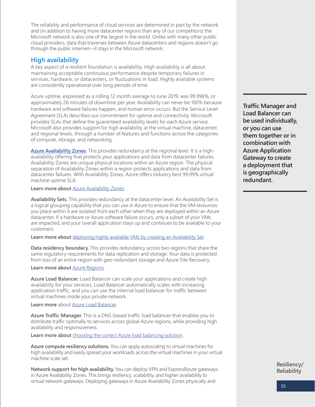<span id="page-34-0"></span>The reliability and performance of cloud services are determined in part by the network and (in addition to having more datacenter regions than any of our competitors) the Microsoft network is also one of the largest in the world. Unlike with many other public cloud providers, data that traverses between Azure datacenters and regions doesn't go through the public internet—it stays in the Microsoft network.

## **High availability**

A key aspect of a resilient foundation is availability. High availability is all about maintaining acceptable continuous performance despite temporary failures in services, hardware, or datacenters, or fluctuations in load. Highly available systems are consistently operational over long periods of time.

Azure uptime, expressed as a rolling 12 month average to June 2019, was 99.996%, or approximately 26 minutes of downtime per year. Availability can never be 100% because hardware and software failures happen, and human error occurs. But the Service Level Agreement (SLA) describes our commitment for uptime and connectivity. Microsoft provides SLAs that define the guaranteed availability levels for each Azure service. Microsoft also provides support for high availability at the virtual machine, datacenter, and regional levels, through a number of features and functions across the categories of compute, storage, and networking.

**[Azure Availability Zones](https://docs.microsoft.com/en-us/azure/availability-zones/az-overview)**. This provides redundancy at the regional level. It is a highavailability offering that protects your applications and data from datacenter failures. Availability Zones are unique physical locations within an Azure region. The physical separation of Availability Zones within a region protects applications and data from datacenter failures. With Availability Zones, Azure offers industry best 99.99% virtual machine uptime SLA.

Learn more about **Azure Availability Zones**.

**Availability Sets.** This provides redundancy at the datacenter level. An Availability Set is a logical grouping capability that you can use in Azure to ensure that the VM resources you place within it are isolated from each other when they are deployed within an Azure datacenter. If a hardware or Azure software failure occurs, only a subset of your VMs are impacted, and your overall application stays up and continues to be available to your customers.

**Learn more about** [deploying highly available VMs by creating an Availability Set](https://docs.microsoft.com/en-us/azure/virtual-machines/windows/tutorial-availability-sets#availability-set-overview ).

**Data residency boundary.** This provides redundancy across two regions that share the same regulatory requirements for data replication and storage. Your data is protected from loss of an entire region with geo-redundant storage and Azure Site Recovery.

## **Learn more about** [Azure Regions.](https://azure.microsoft.com/en-us/global-infrastructure/regions/)

**Azure Load Balancer.** Load Balancer can scale your applications and create high availability for your services. Load Balancer automatically scales with increasing application traffic, and you can use the internal load balancer for traffic between virtual machines inside your private network.

**Learn more** about [Azure Load Balancer.](https://docs.microsoft.com/en-us/azure/load-balancer/load-balancer-overview)

**Azure Traffic Manager.** This is a DNS-based traffic load balancer that enables you to distribute traffic optimally to services across global Azure regions, while providing high availability and responsiveness.

Learn more about choosing the correct Azure load balancing solution.

**Azure compute resiliency solutions.** You can apply autoscaling to virtual machines for high availability and easily spread your workloads across the virtual machines in your virtual machine scale set.

**Network support for high availability.** You can deploy VPN and ExpressRoute gateways in Azure Availability Zones. This brings resiliency, scalability, and higher availability to virtual network gateways. Deploying gateways in Azure Availability Zones physically and

**Traffic Manager and Load Balancer can be used individually, or you can use them together or in combination with Azure Application Gateway to create a deployment that is geographically redundant.**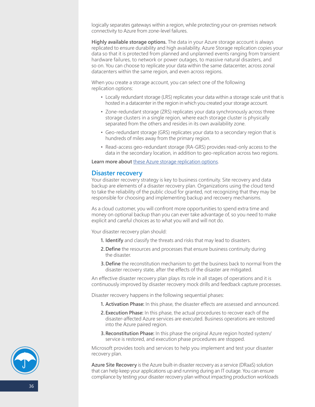<span id="page-35-0"></span>logically separates gateways within a region, while protecting your on-premises network connectivity to Azure from zone-level failures.

**Highly available storage options.** The data in your Azure storage account is always replicated to ensure durability and high availability. Azure Storage replication copies your data so that it is protected from planned and unplanned events ranging from transient hardware failures, to network or power outages, to massive natural disasters, and so on. You can choose to replicate your data within the same datacenter, across zonal datacenters within the same region, and even across regions.

When you create a storage account, you can select one of the following replication options:

- Locally redundant storage (LRS) replicates your data within a storage scale unit that is hosted in a datacenter in the region in which you created your storage account.
- Zone-redundant storage (ZRS) replicates your data synchronously across three storage clusters in a single region, where each storage cluster is physically separated from the others and resides in its own availability zone.
- Geo-redundant storage (GRS) replicates your data to a secondary region that is hundreds of miles away from the primary region.
- Read-access geo-redundant storage (RA-GRS) provides read-only access to the data in the secondary location, in addition to geo-replication across two regions.

**Learn more about** [these Azure storage replication options.](https://docs.microsoft.com/en-us/azure/storage/common/storage-redundancy) 

## **Disaster recovery**

Your disaster recovery strategy is key to business continuity. Site recovery and data backup are elements of a disaster recovery plan. Organizations using the cloud tend to take the reliability of the public cloud for granted, not recognizing that they may be responsible for choosing and implementing backup and recovery mechanisms.

As a cloud customer, you will confront more opportunities to spend extra time and money on optional backup than you can ever take advantage of, so you need to make explicit and careful choices as to what you will and will not do.

Your disaster recovery plan should:

- **1. Identify** and classify the threats and risks that may lead to disasters.
- **2.Define** the resources and processes that ensure business continuity during the disaster.
- **3.Define** the reconstitution mechanism to get the business back to normal from the disaster recovery state, after the effects of the disaster are mitigated.

An effective disaster recovery plan plays its role in all stages of operations and it is continuously improved by disaster recovery mock drills and feedback capture processes.

Disaster recovery happens in the following sequential phases:

- **1. Activation Phase:** In this phase, the disaster effects are assessed and announced.
- **2.Execution Phase:** In this phase, the actual procedures to recover each of the disaster-affected Azure services are executed. Business operations are restored into the Azure paired region.
- **3.Reconstitution Phase:** In this phase the original Azure region hosted system/ service is restored, and execution phase procedures are stopped.

Microsoft provides tools and services to help you implement and test your disaster recovery plan.

**Azure Site Recovery** is the Azure built-in disaster recovery as a service (DRaaS) solution that can help keep your applications up and running during an IT outage. You can ensure compliance by testing your disaster recovery plan without impacting production workloads

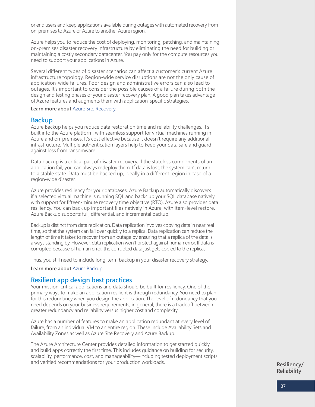<span id="page-36-0"></span>or end users and keep applications available during outages with automated recovery from on-premises to Azure or Azure to another Azure region.

Azure helps you to reduce the cost of deploying, monitoring, patching, and maintaining on-premises disaster recovery infrastructure by eliminating the need for building or maintaining a costly secondary datacenter. You pay only for the compute resources you need to support your applications in Azure.

Several different types of disaster scenarios can affect a customer's current Azure infrastructure topology. Region-wide service disruptions are not the only cause of application-wide failures. Poor design and administrative errors can also lead to outages. It's important to consider the possible causes of a failure during both the design and testing phases of your disaster recovery plan. A good plan takes advantage of Azure features and augments them with application-specific strategies.

## **Learn more about** [Azure Site Recovery.](https://azure.microsoft.com/en-us/services/site-recovery/)

## **Backup**

Azure Backup helps you reduce data restoration time and reliability challenges. It's built into the Azure platform, with seamless support for virtual machines running in Azure and on-premises. It's cost effective because it doesn't require any additional infrastructure. Multiple authentication layers help to keep your data safe and guard against loss from ransomware.

Data backup is a critical part of disaster recovery. If the stateless components of an application fail, you can always redeploy them. If data is lost, the system can't return to a stable state. Data must be backed up, ideally in a different region in case of a region-wide disaster.

Azure provides resiliency for your databases. Azure Backup automatically discovers if a selected virtual machine is running SQL and backs up your SQL database natively with support for fifteen-minute recovery time objective (RTO). Azure also provides data resiliency. You can back up important files natively in Azure, with item-level restore. Azure Backup supports full, differential, and incremental backup.

Backup is distinct from data replication. Data replication involves copying data in near real time, so that the system can fail over quickly to a replica. Data replication can reduce the length of time it takes to recover from an outage by ensuring that a replica of the data is always standing by. However, data replication won't protect against human error. If data is corrupted because of human error, the corrupted data just gets copied to the replicas.

Thus, you still need to include long-term backup in your disaster recovery strategy.

**Learn more about** [Azure Backup](https://azure.microsoft.com/en-us/services/backup/).

## **Resilient app design best practices**

Your mission-critical applications and data should be built for resiliency. One of the primary ways to make an application resilient is through redundancy. You need to plan for this redundancy when you design the application. The level of redundancy that you need depends on your business requirements; in general, there is a tradeoff between greater redundancy and reliability versus higher cost and complexity.

Azure has a number of features to make an application redundant at every level of failure, from an individual VM to an entire region. These include Availability Sets and Availability Zones as well as Azure Site Recovery and Azure Backup.

The Azure Architecture Center provides detailed information to get started quickly and build apps correctly the first time. This includes guidance on building for security, scalability, performance, cost, and manageability—including tested deployment scripts and verified recommendations for your production workloads.

**Resiliency/ Reliability**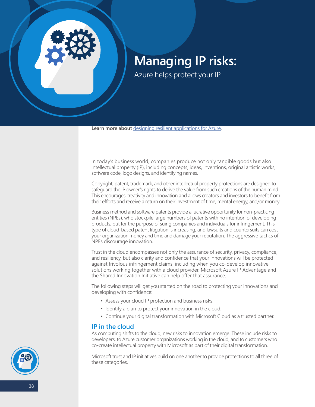<span id="page-37-0"></span>

## **Managing IP risks:**

Azure helps protect your IP

**Learn more about** [designing resilient applications for Azure.](https://docs.microsoft.com/en-us/azure/architecture/resiliency/)

In today's business world, companies produce not only tangible goods but also intellectual property (IP), including concepts, ideas, inventions, original artistic works, software code, logo designs, and identifying names.

Copyright, patent, trademark, and other intellectual property protections are designed to safeguard the IP owner's rights to derive the value from such creations of the human mind. This encourages creativity and innovation and allows creators and investors to benefit from their efforts and receive a return on their investment of time, mental energy, and/or money.

Business method and software patents provide a lucrative opportunity for non-practicing entities (NPEs), who stockpile large numbers of patents with no intention of developing products, but for the purpose of suing companies and individuals for infringement. This type of cloud-based patent litigation is increasing, and lawsuits and countersuits can cost your organization money and time and damage your reputation. The aggressive tactics of NPEs discourage innovation.

Trust in the cloud encompasses not only the assurance of security, privacy, compliance, and resiliency, but also clarity and confidence that your innovations will be protected against frivolous infringement claims, including when you co-develop innovative solutions working together with a cloud provider. Microsoft Azure IP Advantage and the Shared Innovation Initiative can help offer that assurance.

The following steps will get you started on the road to protecting your innovations and developing with confidence:

- Assess your cloud IP protection and business risks.
- Identify a plan to protect your innovation in the cloud.
- Continue your digital transformation with Microsoft Cloud as a trusted partner.

## **IP in the cloud**

As computing shifts to the cloud, new risks to innovation emerge. These include risks to developers, to Azure customer organizations working in the cloud, and to customers who co-create intellectual property with Microsoft as part of their digital transformation.

Microsoft trust and IP initiatives build on one another to provide protections to all three of these categories.

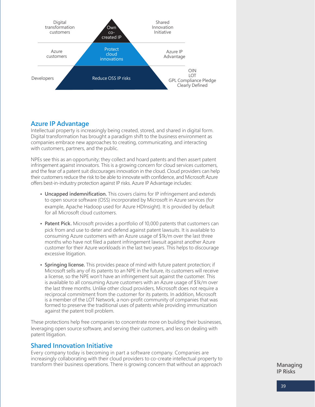<span id="page-38-0"></span>

## **Azure IP Advantage**

Intellectual property is increasingly being created, stored, and shared in digital form. Digital transformation has brought a paradigm shift to the business environment as companies embrace new approaches to creating, communicating, and interacting with customers, partners, and the public.

NPEs see this as an opportunity; they collect and hoard patents and then assert patent infringement against innovators. This is a growing concern for cloud services customers, and the fear of a patent suit discourages innovation in the cloud. Cloud providers can help their customers reduce the risk to be able to innovate with confidence, and Microsoft Azure offers best-in-industry protection against IP risks. Azure IP Advantage includes:

- **• Uncapped indemnification.** This covers claims for IP infringement and extends to open source software (OSS) incorporated by Microsoft in Azure services (for example, Apache Hadoop used for Azure HDInsight). It is provided by default for all Microsoft cloud customers.
- **• Patent Pick.** Microsoft provides a portfolio of 10,000 patents that customers can pick from and use to deter and defend against patent lawsuits. It is available to consuming Azure customers with an Azure usage of \$1k/m over the last three months who have not filed a patent infringement lawsuit against another Azure customer for their Azure workloads in the last two years. This helps to discourage excessive litigation.
- **• Springing license.** This provides peace of mind with future patent protection; if Microsoft sells any of its patents to an NPE in the future, its customers will receive a license, so the NPE won't have an infringement suit against the customer. This is available to all consuming Azure customers with an Azure usage of \$1k/m over the last three months. Unlike other cloud providers, Microsoft does not require a reciprocal commitment from the customer for its patents. In addition, Microsoft is a member of the LOT Network, a non-profit community of companies that was formed to preserve the traditional uses of patents while providing immunization against the patent troll problem.

These protections help free companies to concentrate more on building their businesses, leveraging open source software, and serving their customers, and less on dealing with patent litigation.

## **Shared Innovation Initiative**

Every company today is becoming in part a software company. Companies are increasingly collaborating with their cloud providers to co-create intellectual property to transform their business operations. There is growing concern that without an approach

**Managing IP Risks**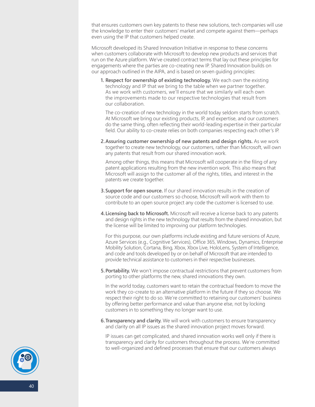that ensures customers own key patents to these new solutions, tech companies will use the knowledge to enter their customers' market and compete against them—perhaps even using the IP that customers helped create.

Microsoft developed its Shared Innovation Initiative in response to these concerns when customers collaborate with Microsoft to develop new products and services that run on the Azure platform. We've created contract terms that lay out these principles for engagements where the parties are co-creating new IP. Shared Innovation builds on our approach outlined in the AIPA, and is based on seven guiding principles:

**1. Respect for ownership of existing technology.** We each own the existing technology and IP that we bring to the table when we partner together. As we work with customers, we'll ensure that we similarly will each own the improvements made to our respective technologies that result from our collaboration.

The co-creation of new technology in the world today seldom starts from scratch. At Microsoft we bring our existing products, IP, and expertise, and our customers do the same thing, often reflecting their world-leading expertise in their particular field. Our ability to co-create relies on both companies respecting each other's IP.

**2.Assuring customer ownership of new patents and design rights.** As we work together to create new technology, our customers, rather than Microsoft, will own any patents that result from our shared innovation work.

Among other things, this means that Microsoft will cooperate in the filing of any patent applications resulting from the new invention work. This also means that Microsoft will assign to the customer all of the rights, titles, and interest in the patents we create together.

- **3.Support for open source.** If our shared innovation results in the creation of source code and our customers so choose, Microsoft will work with them to contribute to an open source project any code the customer is licensed to use.
- **4.Licensing back to Microsoft.** Microsoft will receive a license back to any patents and design rights in the new technology that results from the shared innovation, but the license will be limited to improving our platform technologies.

For this purpose, our own platforms include existing and future versions of Azure, Azure Services (e.g., Cognitive Services), Office 365, Windows, Dynamics, Enterprise Mobility Solution, Cortana, Bing, Xbox, Xbox Live, HoloLens, System of Intelligence, and code and tools developed by or on behalf of Microsoft that are intended to provide technical assistance to customers in their respective businesses.

**5.Portability.** We won't impose contractual restrictions that prevent customers from porting to other platforms the new, shared innovations they own.

In the world today, customers want to retain the contractual freedom to move the work they co-create to an alternative platform in the future if they so choose. We respect their right to do so. We're committed to retaining our customers' business by offering better performance and value than anyone else, not by locking customers in to something they no longer want to use.

**6.Transparency and clarity.** We will work with customers to ensure transparency and clarity on all IP issues as the shared innovation project moves forward.

IP issues can get complicated, and shared innovation works well only if there is transparency and clarity for customers throughout the process. We're committed to well-organized and defined processes that ensure that our customers always

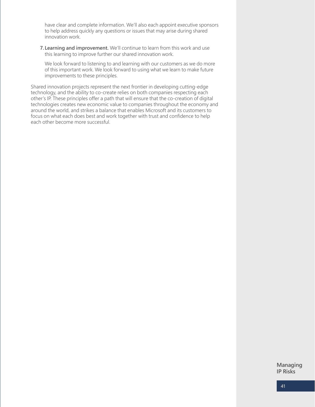have clear and complete information. We'll also each appoint executive sponsors to help address quickly any questions or issues that may arise during shared innovation work.

**7. Learning and improvement.** We'll continue to learn from this work and use this learning to improve further our shared innovation work.

We look forward to listening to and learning with our customers as we do more of this important work. We look forward to using what we learn to make future improvements to these principles.

Shared innovation projects represent the next frontier in developing cutting-edge technology, and the ability to co-create relies on both companies respecting each other's IP. These principles offer a path that will ensure that the co-creation of digital technologies creates new economic value to companies throughout the economy and around the world, and strikes a balance that enables Microsoft and its customers to focus on what each does best and work together with trust and confidence to help each other become more successful.

> **Managing IP Risks**